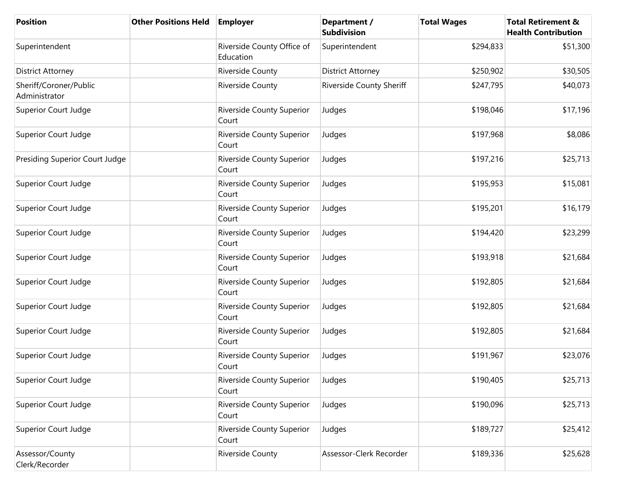| <b>Position</b>                         | <b>Other Positions Held</b> | <b>Employer</b>                           | Department /<br>Subdivision | <b>Total Wages</b> | <b>Total Retirement &amp;</b><br><b>Health Contribution</b> |
|-----------------------------------------|-----------------------------|-------------------------------------------|-----------------------------|--------------------|-------------------------------------------------------------|
| Superintendent                          |                             | Riverside County Office of<br>Education   | Superintendent              | \$294,833          | \$51,300                                                    |
| District Attorney                       |                             | Riverside County                          | <b>District Attorney</b>    | \$250,902          | \$30,505                                                    |
| Sheriff/Coroner/Public<br>Administrator |                             | Riverside County                          | Riverside County Sheriff    | \$247,795          | \$40,073                                                    |
| Superior Court Judge                    |                             | Riverside County Superior<br>Court        | Judges                      | \$198,046          | \$17,196                                                    |
| Superior Court Judge                    |                             | Riverside County Superior<br>Court        | Judges                      | \$197,968          | \$8,086                                                     |
| Presiding Superior Court Judge          |                             | <b>Riverside County Superior</b><br>Court | Judges                      | \$197,216          | \$25,713                                                    |
| Superior Court Judge                    |                             | <b>Riverside County Superior</b><br>Court | Judges                      | \$195,953          | \$15,081                                                    |
| Superior Court Judge                    |                             | Riverside County Superior<br>Court        | Judges                      | \$195,201          | \$16,179                                                    |
| Superior Court Judge                    |                             | Riverside County Superior<br>Court        | Judges                      | \$194,420          | \$23,299                                                    |
| Superior Court Judge                    |                             | Riverside County Superior<br>Court        | Judges                      | \$193,918          | \$21,684                                                    |
| Superior Court Judge                    |                             | Riverside County Superior<br>Court        | Judges                      | \$192,805          | \$21,684                                                    |
| Superior Court Judge                    |                             | Riverside County Superior<br>Court        | Judges                      | \$192,805          | \$21,684                                                    |
| Superior Court Judge                    |                             | <b>Riverside County Superior</b><br>Court | Judges                      | \$192,805          | \$21,684                                                    |
| Superior Court Judge                    |                             | Riverside County Superior<br>Court        | Judges                      | \$191,967          | \$23,076                                                    |
| Superior Court Judge                    |                             | Riverside County Superior<br>Court        | Judges                      | \$190,405          | \$25,713                                                    |
| Superior Court Judge                    |                             | Riverside County Superior<br>Court        | Judges                      | \$190,096          | \$25,713                                                    |
| Superior Court Judge                    |                             | <b>Riverside County Superior</b><br>Court | Judges                      | \$189,727          | \$25,412                                                    |
| Assessor/County<br>Clerk/Recorder       |                             | Riverside County                          | Assessor-Clerk Recorder     | \$189,336          | \$25,628                                                    |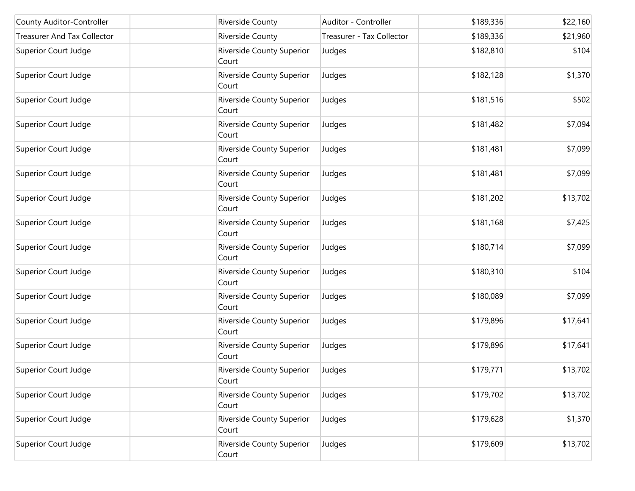| County Auditor-Controller          | <b>Riverside County</b>                   | Auditor - Controller      | \$189,336 | \$22,160 |
|------------------------------------|-------------------------------------------|---------------------------|-----------|----------|
| <b>Treasurer And Tax Collector</b> | Riverside County                          | Treasurer - Tax Collector | \$189,336 | \$21,960 |
| Superior Court Judge               | <b>Riverside County Superior</b><br>Court | Judges                    | \$182,810 | \$104    |
| Superior Court Judge               | Riverside County Superior<br>Court        | Judges                    | \$182,128 | \$1,370  |
| Superior Court Judge               | Riverside County Superior<br>Court        | Judges                    | \$181,516 | \$502    |
| Superior Court Judge               | <b>Riverside County Superior</b><br>Court | Judges                    | \$181,482 | \$7,094  |
| Superior Court Judge               | <b>Riverside County Superior</b><br>Court | Judges                    | \$181,481 | \$7,099  |
| Superior Court Judge               | Riverside County Superior<br>Court        | Judges                    | \$181,481 | \$7,099  |
| Superior Court Judge               | Riverside County Superior<br>Court        | Judges                    | \$181,202 | \$13,702 |
| Superior Court Judge               | Riverside County Superior<br>Court        | Judges                    | \$181,168 | \$7,425  |
| Superior Court Judge               | Riverside County Superior<br>Court        | Judges                    | \$180,714 | \$7,099  |
| Superior Court Judge               | Riverside County Superior<br>Court        | Judges                    | \$180,310 | \$104    |
| Superior Court Judge               | <b>Riverside County Superior</b><br>Court | Judges                    | \$180,089 | \$7,099  |
| Superior Court Judge               | Riverside County Superior<br>Court        | Judges                    | \$179,896 | \$17,641 |
| Superior Court Judge               | Riverside County Superior<br>Court        | Judges                    | \$179,896 | \$17,641 |
| Superior Court Judge               | Riverside County Superior<br>Court        | Judges                    | \$179,771 | \$13,702 |
| Superior Court Judge               | Riverside County Superior<br>Court        | Judges                    | \$179,702 | \$13,702 |
| Superior Court Judge               | <b>Riverside County Superior</b><br>Court | Judges                    | \$179,628 | \$1,370  |
| Superior Court Judge               | <b>Riverside County Superior</b><br>Court | Judges                    | \$179,609 | \$13,702 |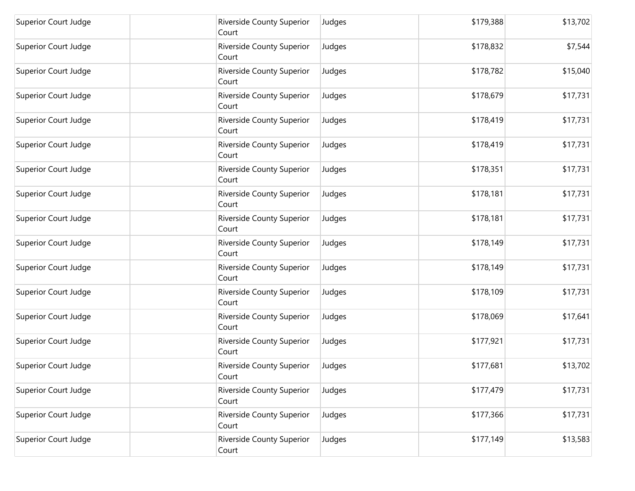| Superior Court Judge | Riverside County Superior<br>Court        | Judges | \$179,388 | \$13,702 |
|----------------------|-------------------------------------------|--------|-----------|----------|
| Superior Court Judge | Riverside County Superior<br>Court        | Judges | \$178,832 | \$7,544  |
| Superior Court Judge | Riverside County Superior<br>Court        | Judges | \$178,782 | \$15,040 |
| Superior Court Judge | <b>Riverside County Superior</b><br>Court | Judges | \$178,679 | \$17,731 |
| Superior Court Judge | Riverside County Superior<br>Court        | Judges | \$178,419 | \$17,731 |
| Superior Court Judge | Riverside County Superior<br>Court        | Judges | \$178,419 | \$17,731 |
| Superior Court Judge | Riverside County Superior<br>Court        | Judges | \$178,351 | \$17,731 |
| Superior Court Judge | <b>Riverside County Superior</b><br>Court | Judges | \$178,181 | \$17,731 |
| Superior Court Judge | Riverside County Superior<br>Court        | Judges | \$178,181 | \$17,731 |
| Superior Court Judge | Riverside County Superior<br>Court        | Judges | \$178,149 | \$17,731 |
| Superior Court Judge | Riverside County Superior<br>Court        | Judges | \$178,149 | \$17,731 |
| Superior Court Judge | Riverside County Superior<br>Court        | Judges | \$178,109 | \$17,731 |
| Superior Court Judge | Riverside County Superior<br>Court        | Judges | \$178,069 | \$17,641 |
| Superior Court Judge | Riverside County Superior<br>Court        | Judges | \$177,921 | \$17,731 |
| Superior Court Judge | Riverside County Superior<br>Court        | Judges | \$177,681 | \$13,702 |
| Superior Court Judge | Riverside County Superior<br>Court        | Judges | \$177,479 | \$17,731 |
| Superior Court Judge | Riverside County Superior<br>Court        | Judges | \$177,366 | \$17,731 |
| Superior Court Judge | Riverside County Superior<br>Court        | Judges | \$177,149 | \$13,583 |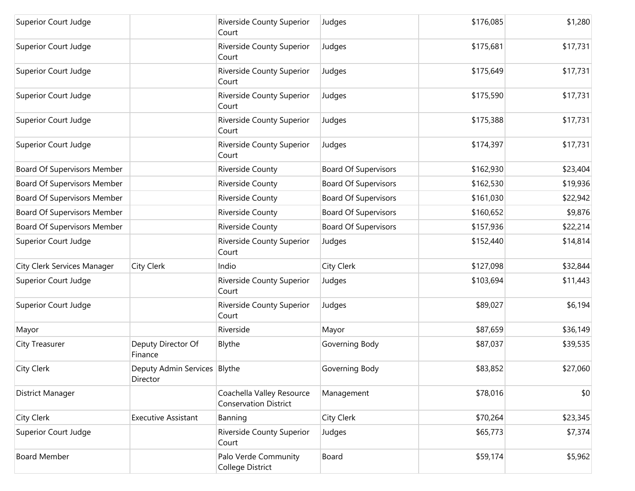| Superior Court Judge        |                                          | Riverside County Superior<br>Court                        | Judges                      | \$176,085 | \$1,280  |
|-----------------------------|------------------------------------------|-----------------------------------------------------------|-----------------------------|-----------|----------|
| Superior Court Judge        |                                          | Riverside County Superior<br>Court                        | Judges                      | \$175,681 | \$17,731 |
| Superior Court Judge        |                                          | <b>Riverside County Superior</b><br>Court                 | Judges                      | \$175,649 | \$17,731 |
| Superior Court Judge        |                                          | Riverside County Superior<br>Court                        | Judges                      | \$175,590 | \$17,731 |
| Superior Court Judge        |                                          | Riverside County Superior<br>Court                        | Judges                      | \$175,388 | \$17,731 |
| Superior Court Judge        |                                          | Riverside County Superior<br>Court                        | Judges                      | \$174,397 | \$17,731 |
| Board Of Supervisors Member |                                          | Riverside County                                          | <b>Board Of Supervisors</b> | \$162,930 | \$23,404 |
| Board Of Supervisors Member |                                          | Riverside County                                          | <b>Board Of Supervisors</b> | \$162,530 | \$19,936 |
| Board Of Supervisors Member |                                          | Riverside County                                          | <b>Board Of Supervisors</b> | \$161,030 | \$22,942 |
| Board Of Supervisors Member |                                          | Riverside County                                          | <b>Board Of Supervisors</b> | \$160,652 | \$9,876  |
| Board Of Supervisors Member |                                          | Riverside County                                          | <b>Board Of Supervisors</b> | \$157,936 | \$22,214 |
| Superior Court Judge        |                                          | <b>Riverside County Superior</b><br>Court                 | Judges                      | \$152,440 | \$14,814 |
| City Clerk Services Manager | City Clerk                               | Indio                                                     | City Clerk                  | \$127,098 | \$32,844 |
| Superior Court Judge        |                                          | Riverside County Superior<br>Court                        | Judges                      | \$103,694 | \$11,443 |
| Superior Court Judge        |                                          | Riverside County Superior<br>Court                        | Judges                      | \$89,027  | \$6,194  |
| Mayor                       |                                          | Riverside                                                 | Mayor                       | \$87,659  | \$36,149 |
| City Treasurer              | Deputy Director Of<br>Finance            | Blythe                                                    | Governing Body              | \$87,037  | \$39,535 |
| City Clerk                  | Deputy Admin Services Blythe<br>Director |                                                           | Governing Body              | \$83,852  | \$27,060 |
| District Manager            |                                          | Coachella Valley Resource<br><b>Conservation District</b> | Management                  | \$78,016  | \$0      |
| City Clerk                  | <b>Executive Assistant</b>               | Banning                                                   | City Clerk                  | \$70,264  | \$23,345 |
| Superior Court Judge        |                                          | Riverside County Superior<br>Court                        | Judges                      | \$65,773  | \$7,374  |
| <b>Board Member</b>         |                                          | Palo Verde Community<br>College District                  | Board                       | \$59,174  | \$5,962  |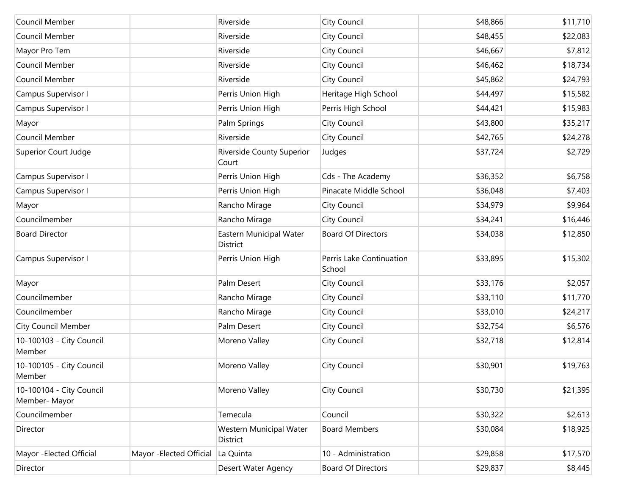| Council Member                            |                          | Riverside                           | City Council                       | \$48,866 | \$11,710 |
|-------------------------------------------|--------------------------|-------------------------------------|------------------------------------|----------|----------|
| Council Member                            |                          | Riverside                           | City Council                       | \$48,455 | \$22,083 |
| Mayor Pro Tem                             |                          | Riverside                           | City Council                       | \$46,667 | \$7,812  |
| Council Member                            |                          | Riverside                           | City Council                       | \$46,462 | \$18,734 |
| Council Member                            |                          | Riverside                           | City Council                       | \$45,862 | \$24,793 |
| Campus Supervisor I                       |                          | Perris Union High                   | Heritage High School               | \$44,497 | \$15,582 |
| Campus Supervisor I                       |                          | Perris Union High                   | Perris High School                 | \$44,421 | \$15,983 |
| Mayor                                     |                          | Palm Springs                        | City Council                       | \$43,800 | \$35,217 |
| Council Member                            |                          | Riverside                           | City Council                       | \$42,765 | \$24,278 |
| Superior Court Judge                      |                          | Riverside County Superior<br>Court  | Judges                             | \$37,724 | \$2,729  |
| Campus Supervisor I                       |                          | Perris Union High                   | Cds - The Academy                  | \$36,352 | \$6,758  |
| Campus Supervisor I                       |                          | Perris Union High                   | Pinacate Middle School             | \$36,048 | \$7,403  |
| Mayor                                     |                          | Rancho Mirage                       | City Council                       | \$34,979 | \$9,964  |
| Councilmember                             |                          | Rancho Mirage                       | City Council                       | \$34,241 | \$16,446 |
| <b>Board Director</b>                     |                          | Eastern Municipal Water<br>District | <b>Board Of Directors</b>          | \$34,038 | \$12,850 |
| Campus Supervisor I                       |                          | Perris Union High                   | Perris Lake Continuation<br>School | \$33,895 | \$15,302 |
| Mayor                                     |                          | Palm Desert                         | City Council                       | \$33,176 | \$2,057  |
| Councilmember                             |                          | Rancho Mirage                       | City Council                       | \$33,110 | \$11,770 |
| Councilmember                             |                          | Rancho Mirage                       | City Council                       | \$33,010 | \$24,217 |
| <b>City Council Member</b>                |                          | Palm Desert                         | City Council                       | \$32,754 | \$6,576  |
| 10-100103 - City Council<br>Member        |                          | Moreno Valley                       | City Council                       | \$32,718 | \$12,814 |
| 10-100105 - City Council<br>Member        |                          | Moreno Valley                       | City Council                       | \$30,901 | \$19,763 |
| 10-100104 - City Council<br>Member- Mayor |                          | Moreno Valley                       | City Council                       | \$30,730 | \$21,395 |
| Councilmember                             |                          | Temecula                            | Council                            | \$30,322 | \$2,613  |
| Director                                  |                          | Western Municipal Water<br>District | <b>Board Members</b>               | \$30,084 | \$18,925 |
| Mayor - Elected Official                  | Mayor - Elected Official | La Quinta                           | 10 - Administration                | \$29,858 | \$17,570 |
| Director                                  |                          | Desert Water Agency                 | <b>Board Of Directors</b>          | \$29,837 | \$8,445  |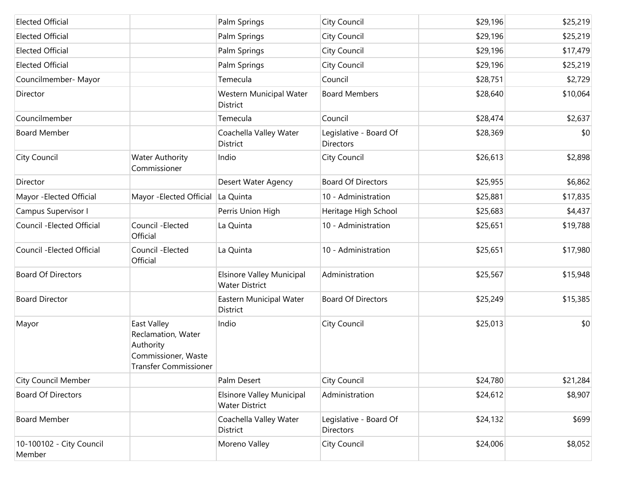| <b>Elected Official</b>            |                                                                                                       | Palm Springs                                              | City Council                               | \$29,196 | \$25,219 |
|------------------------------------|-------------------------------------------------------------------------------------------------------|-----------------------------------------------------------|--------------------------------------------|----------|----------|
| <b>Elected Official</b>            |                                                                                                       | Palm Springs                                              | City Council                               | \$29,196 | \$25,219 |
| <b>Elected Official</b>            |                                                                                                       | Palm Springs                                              | City Council                               | \$29,196 | \$17,479 |
| <b>Elected Official</b>            |                                                                                                       | Palm Springs                                              | City Council                               | \$29,196 | \$25,219 |
| Councilmember- Mayor               |                                                                                                       | Temecula                                                  | Council                                    | \$28,751 | \$2,729  |
| Director                           |                                                                                                       | Western Municipal Water<br><b>District</b>                | <b>Board Members</b>                       | \$28,640 | \$10,064 |
| Councilmember                      |                                                                                                       | Temecula                                                  | Council                                    | \$28,474 | \$2,637  |
| <b>Board Member</b>                |                                                                                                       | Coachella Valley Water<br><b>District</b>                 | Legislative - Board Of<br>Directors        | \$28,369 | \$0      |
| City Council                       | <b>Water Authority</b><br>Commissioner                                                                | Indio                                                     | City Council                               | \$26,613 | \$2,898  |
| Director                           |                                                                                                       | Desert Water Agency                                       | <b>Board Of Directors</b>                  | \$25,955 | \$6,862  |
| Mayor - Elected Official           | Mayor - Elected Official                                                                              | La Quinta                                                 | 10 - Administration                        | \$25,881 | \$17,835 |
| Campus Supervisor I                |                                                                                                       | Perris Union High                                         | Heritage High School                       | \$25,683 | \$4,437  |
| Council - Elected Official         | Council - Elected<br>Official                                                                         | La Quinta                                                 | 10 - Administration                        | \$25,651 | \$19,788 |
| Council - Elected Official         | Council - Elected<br>Official                                                                         | La Quinta                                                 | 10 - Administration                        | \$25,651 | \$17,980 |
| <b>Board Of Directors</b>          |                                                                                                       | <b>Elsinore Valley Municipal</b><br><b>Water District</b> | Administration                             | \$25,567 | \$15,948 |
| <b>Board Director</b>              |                                                                                                       | Eastern Municipal Water<br><b>District</b>                | <b>Board Of Directors</b>                  | \$25,249 | \$15,385 |
| Mayor                              | East Valley<br>Reclamation, Water<br>Authority<br>Commissioner, Waste<br><b>Transfer Commissioner</b> | Indio                                                     | City Council                               | \$25,013 | \$0      |
| <b>City Council Member</b>         |                                                                                                       | Palm Desert                                               | City Council                               | \$24,780 | \$21,284 |
| <b>Board Of Directors</b>          |                                                                                                       | <b>Elsinore Valley Municipal</b><br><b>Water District</b> | Administration                             | \$24,612 | \$8,907  |
| <b>Board Member</b>                |                                                                                                       | Coachella Valley Water<br>District                        | Legislative - Board Of<br><b>Directors</b> | \$24,132 | \$699    |
| 10-100102 - City Council<br>Member |                                                                                                       | Moreno Valley                                             | City Council                               | \$24,006 | \$8,052  |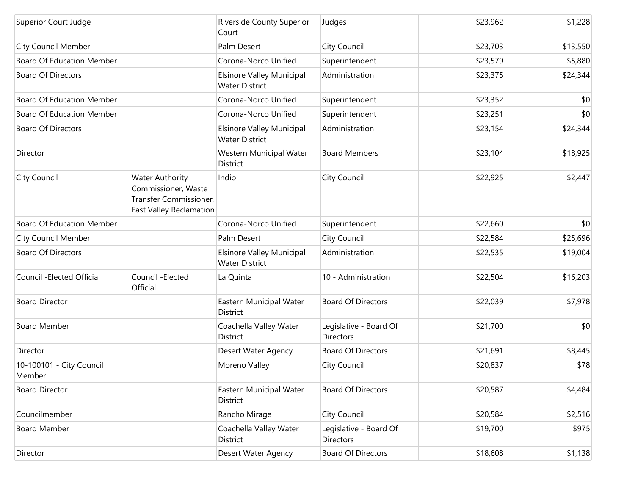| Superior Court Judge               |                                                                                                    | Riverside County Superior<br>Court                        | Judges                                     | \$23,962 | \$1,228  |
|------------------------------------|----------------------------------------------------------------------------------------------------|-----------------------------------------------------------|--------------------------------------------|----------|----------|
| <b>City Council Member</b>         |                                                                                                    | Palm Desert                                               | City Council                               | \$23,703 | \$13,550 |
| <b>Board Of Education Member</b>   |                                                                                                    | Corona-Norco Unified                                      | Superintendent                             | \$23,579 | \$5,880  |
| <b>Board Of Directors</b>          |                                                                                                    | Elsinore Valley Municipal<br><b>Water District</b>        | Administration                             | \$23,375 | \$24,344 |
| <b>Board Of Education Member</b>   |                                                                                                    | Corona-Norco Unified                                      | Superintendent                             | \$23,352 | \$0      |
| <b>Board Of Education Member</b>   |                                                                                                    | Corona-Norco Unified                                      | Superintendent                             | \$23,251 | \$0      |
| <b>Board Of Directors</b>          |                                                                                                    | <b>Elsinore Valley Municipal</b><br><b>Water District</b> | Administration                             | \$23,154 | \$24,344 |
| Director                           |                                                                                                    | Western Municipal Water<br>District                       | <b>Board Members</b>                       | \$23,104 | \$18,925 |
| City Council                       | <b>Water Authority</b><br>Commissioner, Waste<br>Transfer Commissioner,<br>East Valley Reclamation | Indio                                                     | City Council                               | \$22,925 | \$2,447  |
| <b>Board Of Education Member</b>   |                                                                                                    | Corona-Norco Unified                                      | Superintendent                             | \$22,660 | \$0      |
| <b>City Council Member</b>         |                                                                                                    | Palm Desert                                               | City Council                               | \$22,584 | \$25,696 |
| <b>Board Of Directors</b>          |                                                                                                    | Elsinore Valley Municipal<br><b>Water District</b>        | Administration                             | \$22,535 | \$19,004 |
| Council - Elected Official         | Council - Elected<br>Official                                                                      | La Quinta                                                 | 10 - Administration                        | \$22,504 | \$16,203 |
| <b>Board Director</b>              |                                                                                                    | Eastern Municipal Water<br>District                       | <b>Board Of Directors</b>                  | \$22,039 | \$7,978  |
| <b>Board Member</b>                |                                                                                                    | Coachella Valley Water<br><b>District</b>                 | Legislative - Board Of<br><b>Directors</b> | \$21,700 | \$0      |
| Director                           |                                                                                                    | <b>Desert Water Agency</b>                                | <b>Board Of Directors</b>                  | \$21,691 | \$8,445  |
| 10-100101 - City Council<br>Member |                                                                                                    | Moreno Valley                                             | City Council                               | \$20,837 | \$78     |
| <b>Board Director</b>              |                                                                                                    | Eastern Municipal Water<br>District                       | <b>Board Of Directors</b>                  | \$20,587 | \$4,484  |
| Councilmember                      |                                                                                                    | Rancho Mirage                                             | City Council                               | \$20,584 | \$2,516  |
| <b>Board Member</b>                |                                                                                                    | Coachella Valley Water<br><b>District</b>                 | Legislative - Board Of<br><b>Directors</b> | \$19,700 | \$975    |
| Director                           |                                                                                                    | Desert Water Agency                                       | <b>Board Of Directors</b>                  | \$18,608 | \$1,138  |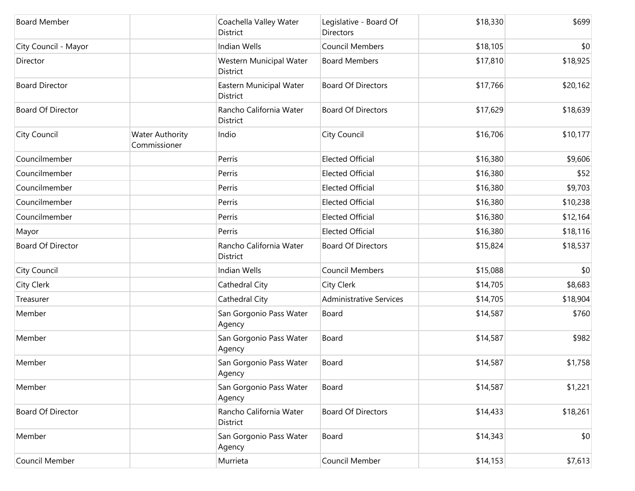| <b>Board Member</b>      |                                        | Coachella Valley Water<br>District  | Legislative - Board Of<br>Directors | \$18,330 | \$699    |
|--------------------------|----------------------------------------|-------------------------------------|-------------------------------------|----------|----------|
| City Council - Mayor     |                                        | Indian Wells                        | <b>Council Members</b>              | \$18,105 | \$0      |
| Director                 |                                        | Western Municipal Water<br>District | <b>Board Members</b>                | \$17,810 | \$18,925 |
| <b>Board Director</b>    |                                        | Eastern Municipal Water<br>District | <b>Board Of Directors</b>           | \$17,766 | \$20,162 |
| <b>Board Of Director</b> |                                        | Rancho California Water<br>District | <b>Board Of Directors</b>           | \$17,629 | \$18,639 |
| City Council             | <b>Water Authority</b><br>Commissioner | Indio                               | City Council                        | \$16,706 | \$10,177 |
| Councilmember            |                                        | Perris                              | <b>Elected Official</b>             | \$16,380 | \$9,606  |
| Councilmember            |                                        | Perris                              | <b>Elected Official</b>             | \$16,380 | \$52     |
| Councilmember            |                                        | Perris                              | <b>Elected Official</b>             | \$16,380 | \$9,703  |
| Councilmember            |                                        | Perris                              | <b>Elected Official</b>             | \$16,380 | \$10,238 |
| Councilmember            |                                        | Perris                              | <b>Elected Official</b>             | \$16,380 | \$12,164 |
| Mayor                    |                                        | Perris                              | <b>Elected Official</b>             | \$16,380 | \$18,116 |
| <b>Board Of Director</b> |                                        | Rancho California Water<br>District | <b>Board Of Directors</b>           | \$15,824 | \$18,537 |
| City Council             |                                        | Indian Wells                        | <b>Council Members</b>              | \$15,088 | \$0      |
| City Clerk               |                                        | Cathedral City                      | City Clerk                          | \$14,705 | \$8,683  |
| Treasurer                |                                        | Cathedral City                      | <b>Administrative Services</b>      | \$14,705 | \$18,904 |
| Member                   |                                        | San Gorgonio Pass Water<br>Agency   | Board                               | \$14,587 | \$760    |
| Member                   |                                        | San Gorgonio Pass Water<br>Agency   | Board                               | \$14,587 | \$982    |
| Member                   |                                        | San Gorgonio Pass Water<br>Agency   | Board                               | \$14,587 | \$1,758  |
| Member                   |                                        | San Gorgonio Pass Water<br>Agency   | Board                               | \$14,587 | \$1,221  |
| <b>Board Of Director</b> |                                        | Rancho California Water<br>District | <b>Board Of Directors</b>           | \$14,433 | \$18,261 |
| Member                   |                                        | San Gorgonio Pass Water<br>Agency   | Board                               | \$14,343 | \$0      |
| Council Member           |                                        | Murrieta                            | Council Member                      | \$14,153 | \$7,613  |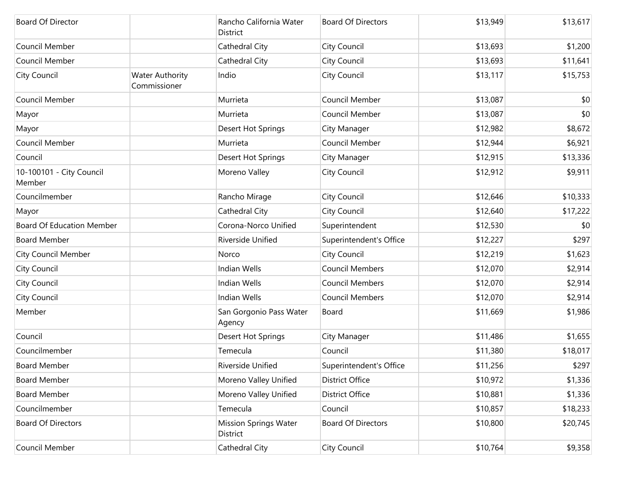| <b>Board Of Director</b>           |                                        | Rancho California Water<br>District      | <b>Board Of Directors</b> | \$13,949 | \$13,617 |
|------------------------------------|----------------------------------------|------------------------------------------|---------------------------|----------|----------|
| Council Member                     |                                        | Cathedral City                           | City Council              | \$13,693 | \$1,200  |
| Council Member                     |                                        | Cathedral City                           | City Council              | \$13,693 | \$11,641 |
| <b>City Council</b>                | <b>Water Authority</b><br>Commissioner | Indio                                    | City Council              | \$13,117 | \$15,753 |
| Council Member                     |                                        | Murrieta                                 | Council Member            | \$13,087 | \$0      |
| Mayor                              |                                        | Murrieta                                 | Council Member            | \$13,087 | \$0      |
| Mayor                              |                                        | Desert Hot Springs                       | City Manager              | \$12,982 | \$8,672  |
| Council Member                     |                                        | Murrieta                                 | Council Member            | \$12,944 | \$6,921  |
| Council                            |                                        | Desert Hot Springs                       | City Manager              | \$12,915 | \$13,336 |
| 10-100101 - City Council<br>Member |                                        | Moreno Valley                            | City Council              | \$12,912 | \$9,911  |
| Councilmember                      |                                        | Rancho Mirage                            | City Council              | \$12,646 | \$10,333 |
| Mayor                              |                                        | Cathedral City                           | City Council              | \$12,640 | \$17,222 |
| <b>Board Of Education Member</b>   |                                        | Corona-Norco Unified                     | Superintendent            | \$12,530 | \$0      |
| <b>Board Member</b>                |                                        | Riverside Unified                        | Superintendent's Office   | \$12,227 | \$297    |
| <b>City Council Member</b>         |                                        | Norco                                    | City Council              | \$12,219 | \$1,623  |
| <b>City Council</b>                |                                        | Indian Wells                             | <b>Council Members</b>    | \$12,070 | \$2,914  |
| <b>City Council</b>                |                                        | <b>Indian Wells</b>                      | <b>Council Members</b>    | \$12,070 | \$2,914  |
| <b>City Council</b>                |                                        | <b>Indian Wells</b>                      | <b>Council Members</b>    | \$12,070 | \$2,914  |
| Member                             |                                        | San Gorgonio Pass Water<br>Agency        | Board                     | \$11,669 | \$1,986  |
| Council                            |                                        | Desert Hot Springs                       | City Manager              | \$11,486 | \$1,655  |
| Councilmember                      |                                        | Temecula                                 | Council                   | \$11,380 | \$18,017 |
| <b>Board Member</b>                |                                        | Riverside Unified                        | Superintendent's Office   | \$11,256 | \$297    |
| <b>Board Member</b>                |                                        | Moreno Valley Unified                    | <b>District Office</b>    | \$10,972 | \$1,336  |
| <b>Board Member</b>                |                                        | Moreno Valley Unified                    | <b>District Office</b>    | \$10,881 | \$1,336  |
| Councilmember                      |                                        | Temecula                                 | Council                   | \$10,857 | \$18,233 |
| <b>Board Of Directors</b>          |                                        | <b>Mission Springs Water</b><br>District | <b>Board Of Directors</b> | \$10,800 | \$20,745 |
| Council Member                     |                                        | Cathedral City                           | City Council              | \$10,764 | \$9,358  |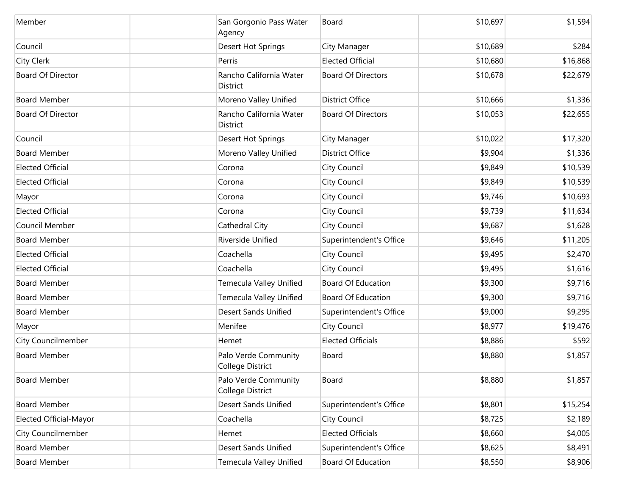| Member                    | San Gorgonio Pass Water<br>Agency          | Board                     | \$10,697 | \$1,594  |
|---------------------------|--------------------------------------------|---------------------------|----------|----------|
| Council                   | Desert Hot Springs                         | City Manager              | \$10,689 | \$284    |
| City Clerk                | Perris                                     | <b>Elected Official</b>   | \$10,680 | \$16,868 |
| <b>Board Of Director</b>  | Rancho California Water<br><b>District</b> | <b>Board Of Directors</b> | \$10,678 | \$22,679 |
| <b>Board Member</b>       | Moreno Valley Unified                      | <b>District Office</b>    | \$10,666 | \$1,336  |
| <b>Board Of Director</b>  | Rancho California Water<br><b>District</b> | <b>Board Of Directors</b> | \$10,053 | \$22,655 |
| Council                   | Desert Hot Springs                         | City Manager              | \$10,022 | \$17,320 |
| <b>Board Member</b>       | Moreno Valley Unified                      | <b>District Office</b>    | \$9,904  | \$1,336  |
| <b>Elected Official</b>   | Corona                                     | City Council              | \$9,849  | \$10,539 |
| <b>Elected Official</b>   | Corona                                     | City Council              | \$9,849  | \$10,539 |
| Mayor                     | Corona                                     | City Council              | \$9,746  | \$10,693 |
| <b>Elected Official</b>   | Corona                                     | City Council              | \$9,739  | \$11,634 |
| Council Member            | Cathedral City                             | City Council              | \$9,687  | \$1,628  |
| <b>Board Member</b>       | Riverside Unified                          | Superintendent's Office   | \$9,646  | \$11,205 |
| <b>Elected Official</b>   | Coachella                                  | City Council              | \$9,495  | \$2,470  |
| <b>Elected Official</b>   | Coachella                                  | <b>City Council</b>       | \$9,495  | \$1,616  |
| <b>Board Member</b>       | Temecula Valley Unified                    | <b>Board Of Education</b> | \$9,300  | \$9,716  |
| <b>Board Member</b>       | Temecula Valley Unified                    | <b>Board Of Education</b> | \$9,300  | \$9,716  |
| <b>Board Member</b>       | <b>Desert Sands Unified</b>                | Superintendent's Office   | \$9,000  | \$9,295  |
| Mayor                     | Menifee                                    | City Council              | \$8,977  | \$19,476 |
| <b>City Councilmember</b> | Hemet                                      | <b>Elected Officials</b>  | \$8,886  | \$592    |
| <b>Board Member</b>       | Palo Verde Community<br>College District   | Board                     | \$8,880  | \$1,857  |
| <b>Board Member</b>       | Palo Verde Community<br>College District   | Board                     | \$8,880  | \$1,857  |
| <b>Board Member</b>       | <b>Desert Sands Unified</b>                | Superintendent's Office   | \$8,801  | \$15,254 |
| Elected Official-Mayor    | Coachella                                  | City Council              | \$8,725  | \$2,189  |
| <b>City Councilmember</b> | Hemet                                      | <b>Elected Officials</b>  | \$8,660  | \$4,005  |
| <b>Board Member</b>       | <b>Desert Sands Unified</b>                | Superintendent's Office   | \$8,625  | \$8,491  |
| <b>Board Member</b>       | Temecula Valley Unified                    | <b>Board Of Education</b> | \$8,550  | \$8,906  |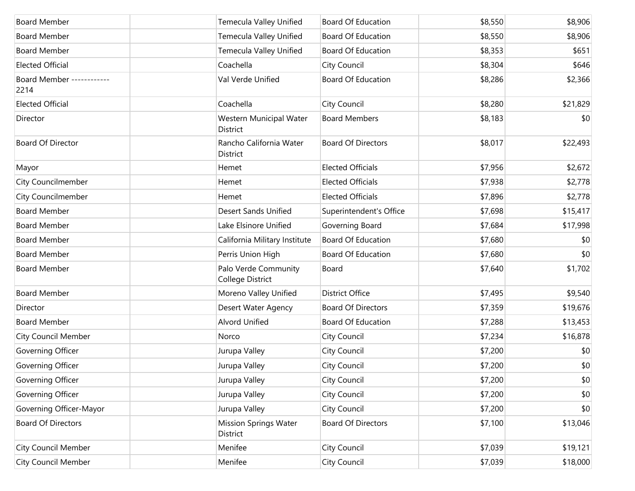| <b>Board Member</b>               | Temecula Valley Unified                  | <b>Board Of Education</b> | \$8,550 | \$8,906  |
|-----------------------------------|------------------------------------------|---------------------------|---------|----------|
| <b>Board Member</b>               | Temecula Valley Unified                  | <b>Board Of Education</b> | \$8,550 | \$8,906  |
| <b>Board Member</b>               | Temecula Valley Unified                  | <b>Board Of Education</b> | \$8,353 | \$651    |
| <b>Elected Official</b>           | Coachella                                | City Council              | \$8,304 | \$646    |
| Board Member ------------<br>2214 | Val Verde Unified                        | <b>Board Of Education</b> | \$8,286 | \$2,366  |
| <b>Elected Official</b>           | Coachella                                | City Council              | \$8,280 | \$21,829 |
| Director                          | Western Municipal Water<br>District      | <b>Board Members</b>      | \$8,183 | \$0      |
| <b>Board Of Director</b>          | Rancho California Water<br>District      | <b>Board Of Directors</b> | \$8,017 | \$22,493 |
| Mayor                             | Hemet                                    | <b>Elected Officials</b>  | \$7,956 | \$2,672  |
| <b>City Councilmember</b>         | Hemet                                    | <b>Elected Officials</b>  | \$7,938 | \$2,778  |
| City Councilmember                | Hemet                                    | <b>Elected Officials</b>  | \$7,896 | \$2,778  |
| <b>Board Member</b>               | <b>Desert Sands Unified</b>              | Superintendent's Office   | \$7,698 | \$15,417 |
| <b>Board Member</b>               | Lake Elsinore Unified                    | Governing Board           | \$7,684 | \$17,998 |
| <b>Board Member</b>               | California Military Institute            | <b>Board Of Education</b> | \$7,680 | \$0      |
| <b>Board Member</b>               | Perris Union High                        | <b>Board Of Education</b> | \$7,680 | \$0      |
| <b>Board Member</b>               | Palo Verde Community<br>College District | Board                     | \$7,640 | \$1,702  |
| <b>Board Member</b>               | Moreno Valley Unified                    | <b>District Office</b>    | \$7,495 | \$9,540  |
| Director                          | Desert Water Agency                      | <b>Board Of Directors</b> | \$7,359 | \$19,676 |
| <b>Board Member</b>               | <b>Alvord Unified</b>                    | <b>Board Of Education</b> | \$7,288 | \$13,453 |
| <b>City Council Member</b>        | Norco                                    | City Council              | \$7,234 | \$16,878 |
| Governing Officer                 | Jurupa Valley                            | City Council              | \$7,200 | \$0      |
| Governing Officer                 | Jurupa Valley                            | City Council              | \$7,200 | \$0      |
| Governing Officer                 | Jurupa Valley                            | City Council              | \$7,200 | \$0      |
| Governing Officer                 | Jurupa Valley                            | City Council              | \$7,200 | \$0      |
| Governing Officer-Mayor           | Jurupa Valley                            | City Council              | \$7,200 | \$0      |
| <b>Board Of Directors</b>         | <b>Mission Springs Water</b><br>District | <b>Board Of Directors</b> | \$7,100 | \$13,046 |
| <b>City Council Member</b>        | Menifee                                  | City Council              | \$7,039 | \$19,121 |
| <b>City Council Member</b>        | Menifee                                  | City Council              | \$7,039 | \$18,000 |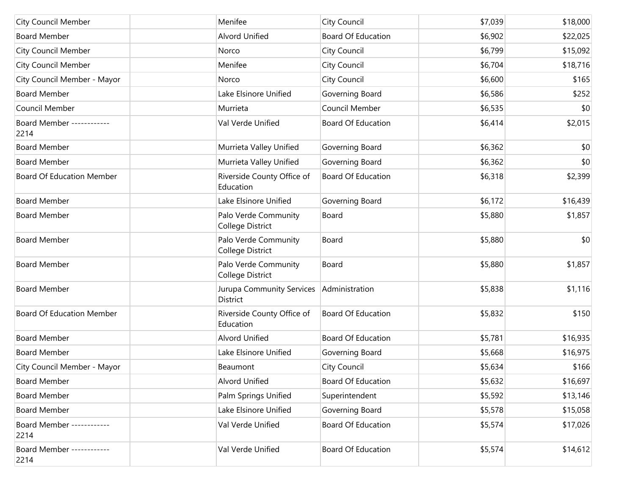| <b>City Council Member</b>        | Menifee                                  | City Council              | \$7,039 | \$18,000 |
|-----------------------------------|------------------------------------------|---------------------------|---------|----------|
| <b>Board Member</b>               | <b>Alvord Unified</b>                    | <b>Board Of Education</b> | \$6,902 | \$22,025 |
| <b>City Council Member</b>        | Norco                                    | City Council              | \$6,799 | \$15,092 |
| <b>City Council Member</b>        | Menifee                                  | City Council              | \$6,704 | \$18,716 |
| City Council Member - Mayor       | Norco                                    | City Council              | \$6,600 | \$165    |
| <b>Board Member</b>               | Lake Elsinore Unified                    | Governing Board           | \$6,586 | \$252    |
| Council Member                    | Murrieta                                 | Council Member            | \$6,535 | \$0      |
| Board Member -----------<br>2214  | Val Verde Unified                        | Board Of Education        | \$6,414 | \$2,015  |
| <b>Board Member</b>               | Murrieta Valley Unified                  | Governing Board           | \$6,362 | \$0      |
| <b>Board Member</b>               | Murrieta Valley Unified                  | Governing Board           | \$6,362 | \$0      |
| <b>Board Of Education Member</b>  | Riverside County Office of<br>Education  | <b>Board Of Education</b> | \$6,318 | \$2,399  |
| <b>Board Member</b>               | Lake Elsinore Unified                    | Governing Board           | \$6,172 | \$16,439 |
| <b>Board Member</b>               | Palo Verde Community<br>College District | Board                     | \$5,880 | \$1,857  |
| <b>Board Member</b>               | Palo Verde Community<br>College District | Board                     | \$5,880 | \$0      |
| <b>Board Member</b>               | Palo Verde Community<br>College District | Board                     | \$5,880 | \$1,857  |
| <b>Board Member</b>               | Jurupa Community Services<br>District    | Administration            | \$5,838 | \$1,116  |
| <b>Board Of Education Member</b>  | Riverside County Office of<br>Education  | <b>Board Of Education</b> | \$5,832 | \$150    |
| <b>Board Member</b>               | Alvord Unified                           | <b>Board Of Education</b> | \$5,781 | \$16,935 |
| <b>Board Member</b>               | Lake Elsinore Unified                    | Governing Board           | \$5,668 | \$16,975 |
| City Council Member - Mayor       | Beaumont                                 | City Council              | \$5,634 | \$166    |
| <b>Board Member</b>               | Alvord Unified                           | <b>Board Of Education</b> | \$5,632 | \$16,697 |
| <b>Board Member</b>               | Palm Springs Unified                     | Superintendent            | \$5,592 | \$13,146 |
| <b>Board Member</b>               | Lake Elsinore Unified                    | Governing Board           | \$5,578 | \$15,058 |
| Board Member -----------<br>2214  | Val Verde Unified                        | Board Of Education        | \$5,574 | \$17,026 |
| Board Member ------------<br>2214 | Val Verde Unified                        | Board Of Education        | \$5,574 | \$14,612 |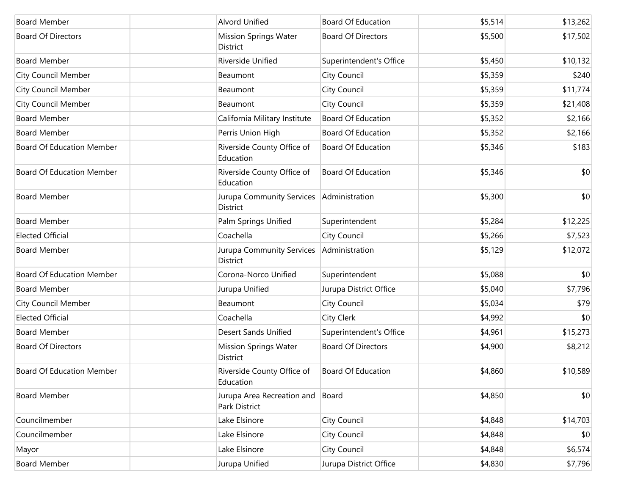| <b>Board Member</b>              | <b>Alvord Unified</b>                       | <b>Board Of Education</b> | \$5,514 | \$13,262 |
|----------------------------------|---------------------------------------------|---------------------------|---------|----------|
| <b>Board Of Directors</b>        | <b>Mission Springs Water</b><br>District    | <b>Board Of Directors</b> | \$5,500 | \$17,502 |
| <b>Board Member</b>              | Riverside Unified                           | Superintendent's Office   | \$5,450 | \$10,132 |
| <b>City Council Member</b>       | Beaumont                                    | City Council              | \$5,359 | \$240    |
| <b>City Council Member</b>       | Beaumont                                    | City Council              | \$5,359 | \$11,774 |
| <b>City Council Member</b>       | Beaumont                                    | City Council              | \$5,359 | \$21,408 |
| <b>Board Member</b>              | California Military Institute               | <b>Board Of Education</b> | \$5,352 | \$2,166  |
| <b>Board Member</b>              | Perris Union High                           | <b>Board Of Education</b> | \$5,352 | \$2,166  |
| <b>Board Of Education Member</b> | Riverside County Office of<br>Education     | <b>Board Of Education</b> | \$5,346 | \$183    |
| <b>Board Of Education Member</b> | Riverside County Office of<br>Education     | <b>Board Of Education</b> | \$5,346 | \$0      |
| <b>Board Member</b>              | Jurupa Community Services<br>District       | Administration            | \$5,300 | \$0      |
| <b>Board Member</b>              | Palm Springs Unified                        | Superintendent            | \$5,284 | \$12,225 |
| <b>Elected Official</b>          | Coachella                                   | City Council              | \$5,266 | \$7,523  |
| <b>Board Member</b>              | Jurupa Community Services<br>District       | Administration            | \$5,129 | \$12,072 |
| <b>Board Of Education Member</b> | Corona-Norco Unified                        | Superintendent            | \$5,088 | \$0      |
| <b>Board Member</b>              | Jurupa Unified                              | Jurupa District Office    | \$5,040 | \$7,796  |
| <b>City Council Member</b>       | Beaumont                                    | City Council              | \$5,034 | \$79     |
| <b>Elected Official</b>          | Coachella                                   | City Clerk                | \$4,992 | \$0      |
| <b>Board Member</b>              | <b>Desert Sands Unified</b>                 | Superintendent's Office   | \$4,961 | \$15,273 |
| <b>Board Of Directors</b>        | <b>Mission Springs Water</b><br>District    | <b>Board Of Directors</b> | \$4,900 | \$8,212  |
| Board Of Education Member        | Riverside County Office of<br>Education     | Board Of Education        | \$4,860 | \$10,589 |
| <b>Board Member</b>              | Jurupa Area Recreation and<br>Park District | Board                     | \$4,850 | \$0      |
| Councilmember                    | Lake Elsinore                               | City Council              | \$4,848 | \$14,703 |
| Councilmember                    | Lake Elsinore                               | City Council              | \$4,848 | \$0      |
| Mayor                            | Lake Elsinore                               | City Council              | \$4,848 | \$6,574  |
| <b>Board Member</b>              | Jurupa Unified                              | Jurupa District Office    | \$4,830 | \$7,796  |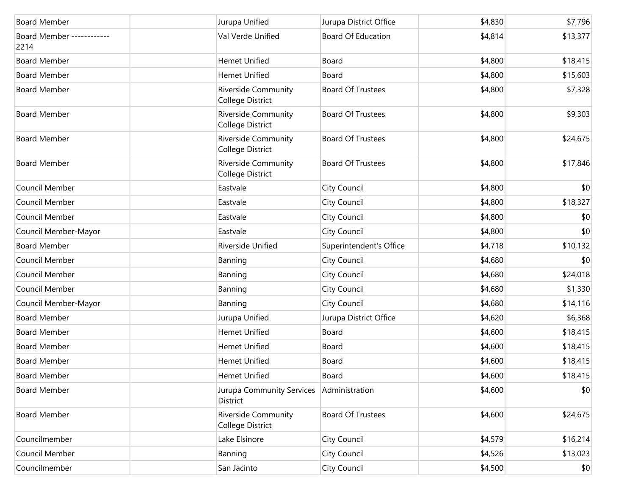| <b>Board Member</b>               | Jurupa Unified                                 | Jurupa District Office    | \$4,830 | \$7,796  |
|-----------------------------------|------------------------------------------------|---------------------------|---------|----------|
| Board Member ------------<br>2214 | Val Verde Unified                              | <b>Board Of Education</b> | \$4,814 | \$13,377 |
| <b>Board Member</b>               | <b>Hemet Unified</b>                           | Board                     | \$4,800 | \$18,415 |
| <b>Board Member</b>               | <b>Hemet Unified</b>                           | Board                     | \$4,800 | \$15,603 |
| <b>Board Member</b>               | <b>Riverside Community</b><br>College District | <b>Board Of Trustees</b>  | \$4,800 | \$7,328  |
| <b>Board Member</b>               | Riverside Community<br>College District        | <b>Board Of Trustees</b>  | \$4,800 | \$9,303  |
| <b>Board Member</b>               | <b>Riverside Community</b><br>College District | <b>Board Of Trustees</b>  | \$4,800 | \$24,675 |
| <b>Board Member</b>               | <b>Riverside Community</b><br>College District | <b>Board Of Trustees</b>  | \$4,800 | \$17,846 |
| Council Member                    | Eastvale                                       | City Council              | \$4,800 | \$0      |
| Council Member                    | Eastvale                                       | City Council              | \$4,800 | \$18,327 |
| Council Member                    | Eastvale                                       | City Council              | \$4,800 | \$0      |
| Council Member-Mayor              | Eastvale                                       | City Council              | \$4,800 | \$0      |
| <b>Board Member</b>               | Riverside Unified                              | Superintendent's Office   | \$4,718 | \$10,132 |
| Council Member                    | Banning                                        | City Council              | \$4,680 | \$0      |
| Council Member                    | Banning                                        | City Council              | \$4,680 | \$24,018 |
| Council Member                    | Banning                                        | City Council              | \$4,680 | \$1,330  |
| Council Member-Mayor              | Banning                                        | City Council              | \$4,680 | \$14,116 |
| <b>Board Member</b>               | Jurupa Unified                                 | Jurupa District Office    | \$4,620 | \$6,368  |
| <b>Board Member</b>               | <b>Hemet Unified</b>                           | Board                     | \$4,600 | \$18,415 |
| <b>Board Member</b>               | <b>Hemet Unified</b>                           | Board                     | \$4,600 | \$18,415 |
| <b>Board Member</b>               | <b>Hemet Unified</b>                           | Board                     | \$4,600 | \$18,415 |
| <b>Board Member</b>               | Hemet Unified                                  | Board                     | \$4,600 | \$18,415 |
| <b>Board Member</b>               | Jurupa Community Services<br>District          | Administration            | \$4,600 | \$0      |
| <b>Board Member</b>               | Riverside Community<br>College District        | <b>Board Of Trustees</b>  | \$4,600 | \$24,675 |
| Councilmember                     | Lake Elsinore                                  | City Council              | \$4,579 | \$16,214 |
| Council Member                    | Banning                                        | City Council              | \$4,526 | \$13,023 |
| Councilmember                     | San Jacinto                                    | City Council              | \$4,500 | \$0      |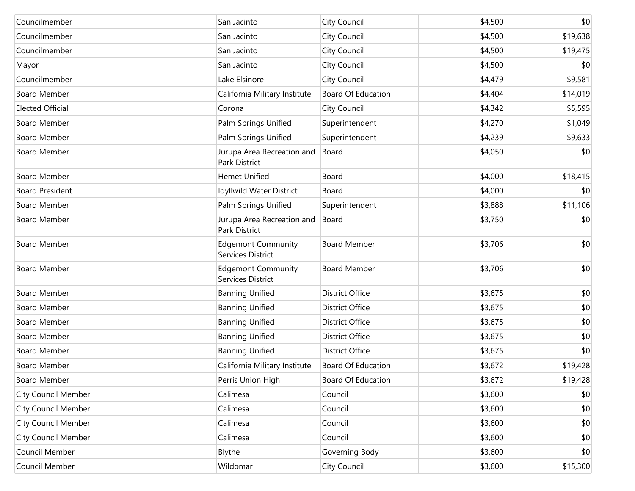| Councilmember              | San Jacinto                                    | City Council              | \$4,500 | \$0      |
|----------------------------|------------------------------------------------|---------------------------|---------|----------|
| Councilmember              | San Jacinto                                    | City Council              | \$4,500 | \$19,638 |
| Councilmember              | San Jacinto                                    | City Council              | \$4,500 | \$19,475 |
| Mayor                      | San Jacinto                                    | City Council              | \$4,500 | \$0      |
| Councilmember              | Lake Elsinore                                  | City Council              | \$4,479 | \$9,581  |
| <b>Board Member</b>        | California Military Institute                  | <b>Board Of Education</b> | \$4,404 | \$14,019 |
| <b>Elected Official</b>    | Corona                                         | City Council              | \$4,342 | \$5,595  |
| <b>Board Member</b>        | Palm Springs Unified                           | Superintendent            | \$4,270 | \$1,049  |
| <b>Board Member</b>        | Palm Springs Unified                           | Superintendent            | \$4,239 | \$9,633  |
| <b>Board Member</b>        | Jurupa Area Recreation and<br>Park District    | Board                     | \$4,050 | \$0      |
| <b>Board Member</b>        | Hemet Unified                                  | Board                     | \$4,000 | \$18,415 |
| <b>Board President</b>     | Idyllwild Water District                       | Board                     | \$4,000 | \$0      |
| <b>Board Member</b>        | Palm Springs Unified                           | Superintendent            | \$3,888 | \$11,106 |
| <b>Board Member</b>        | Jurupa Area Recreation and<br>Park District    | Board                     | \$3,750 | \$0      |
| <b>Board Member</b>        | <b>Edgemont Community</b><br>Services District | <b>Board Member</b>       | \$3,706 | \$0      |
| <b>Board Member</b>        | <b>Edgemont Community</b><br>Services District | <b>Board Member</b>       | \$3,706 | \$0      |
| <b>Board Member</b>        | <b>Banning Unified</b>                         | <b>District Office</b>    | \$3,675 | \$0      |
| <b>Board Member</b>        | <b>Banning Unified</b>                         | <b>District Office</b>    | \$3,675 | \$0      |
| <b>Board Member</b>        | <b>Banning Unified</b>                         | <b>District Office</b>    | \$3,675 | \$0      |
| <b>Board Member</b>        | <b>Banning Unified</b>                         | <b>District Office</b>    | \$3,675 | \$0      |
| <b>Board Member</b>        | <b>Banning Unified</b>                         | <b>District Office</b>    | \$3,675 | \$0      |
| <b>Board Member</b>        | California Military Institute                  | <b>Board Of Education</b> | \$3,672 | \$19,428 |
| <b>Board Member</b>        | Perris Union High                              | Board Of Education        | \$3,672 | \$19,428 |
| <b>City Council Member</b> | Calimesa                                       | Council                   | \$3,600 | \$0      |
| <b>City Council Member</b> | Calimesa                                       | Council                   | \$3,600 | \$0      |
| <b>City Council Member</b> | Calimesa                                       | Council                   | \$3,600 | \$0      |
| <b>City Council Member</b> | Calimesa                                       | Council                   | \$3,600 | \$0      |
| Council Member             | Blythe                                         | Governing Body            | \$3,600 | \$0      |
| Council Member             | Wildomar                                       | City Council              | \$3,600 | \$15,300 |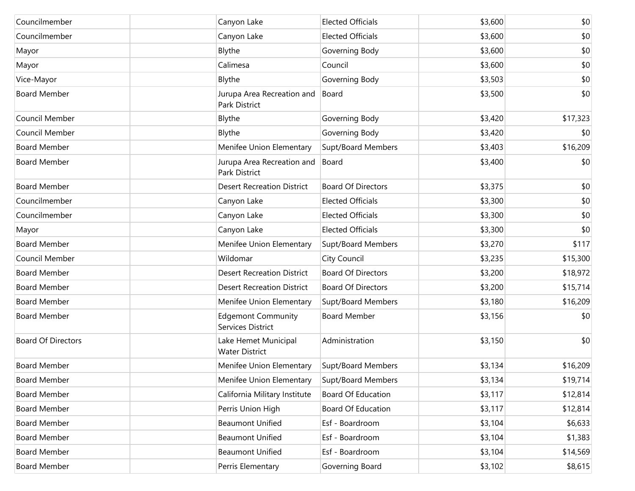| Councilmember             | Canyon Lake                                    | <b>Elected Officials</b>  | \$3,600 | \$0      |
|---------------------------|------------------------------------------------|---------------------------|---------|----------|
| Councilmember             | Canyon Lake                                    | <b>Elected Officials</b>  | \$3,600 | \$0      |
| Mayor                     | Blythe                                         | Governing Body            | \$3,600 | \$0      |
| Mayor                     | Calimesa                                       | Council                   | \$3,600 | \$0      |
| Vice-Mayor                | Blythe                                         | Governing Body            | \$3,503 | \$0      |
| <b>Board Member</b>       | Jurupa Area Recreation and<br>Park District    | Board                     | \$3,500 | \$0      |
| Council Member            | Blythe                                         | Governing Body            | \$3,420 | \$17,323 |
| Council Member            | Blythe                                         | Governing Body            | \$3,420 | \$0      |
| <b>Board Member</b>       | Menifee Union Elementary                       | Supt/Board Members        | \$3,403 | \$16,209 |
| <b>Board Member</b>       | Jurupa Area Recreation and<br>Park District    | Board                     | \$3,400 | \$0      |
| <b>Board Member</b>       | <b>Desert Recreation District</b>              | <b>Board Of Directors</b> | \$3,375 | \$0      |
| Councilmember             | Canyon Lake                                    | <b>Elected Officials</b>  | \$3,300 | \$0      |
| Councilmember             | Canyon Lake                                    | <b>Elected Officials</b>  | \$3,300 | \$0      |
| Mayor                     | Canyon Lake                                    | <b>Elected Officials</b>  | \$3,300 | \$0      |
| <b>Board Member</b>       | Menifee Union Elementary                       | Supt/Board Members        | \$3,270 | \$117    |
| Council Member            | Wildomar                                       | City Council              | \$3,235 | \$15,300 |
| <b>Board Member</b>       | <b>Desert Recreation District</b>              | <b>Board Of Directors</b> | \$3,200 | \$18,972 |
| <b>Board Member</b>       | <b>Desert Recreation District</b>              | <b>Board Of Directors</b> | \$3,200 | \$15,714 |
| <b>Board Member</b>       | Menifee Union Elementary                       | Supt/Board Members        | \$3,180 | \$16,209 |
| <b>Board Member</b>       | <b>Edgemont Community</b><br>Services District | <b>Board Member</b>       | \$3,156 | \$0      |
| <b>Board Of Directors</b> | Lake Hemet Municipal<br><b>Water District</b>  | Administration            | \$3,150 | \$0      |
| <b>Board Member</b>       | Menifee Union Elementary                       | Supt/Board Members        | \$3,134 | \$16,209 |
| <b>Board Member</b>       | Menifee Union Elementary                       | Supt/Board Members        | \$3,134 | \$19,714 |
| <b>Board Member</b>       | California Military Institute                  | <b>Board Of Education</b> | \$3,117 | \$12,814 |
| <b>Board Member</b>       | Perris Union High                              | <b>Board Of Education</b> | \$3,117 | \$12,814 |
| <b>Board Member</b>       | <b>Beaumont Unified</b>                        | Esf - Boardroom           | \$3,104 | \$6,633  |
| <b>Board Member</b>       | <b>Beaumont Unified</b>                        | Esf - Boardroom           | \$3,104 | \$1,383  |
| <b>Board Member</b>       | <b>Beaumont Unified</b>                        | Esf - Boardroom           | \$3,104 | \$14,569 |
| <b>Board Member</b>       | Perris Elementary                              | Governing Board           | \$3,102 | \$8,615  |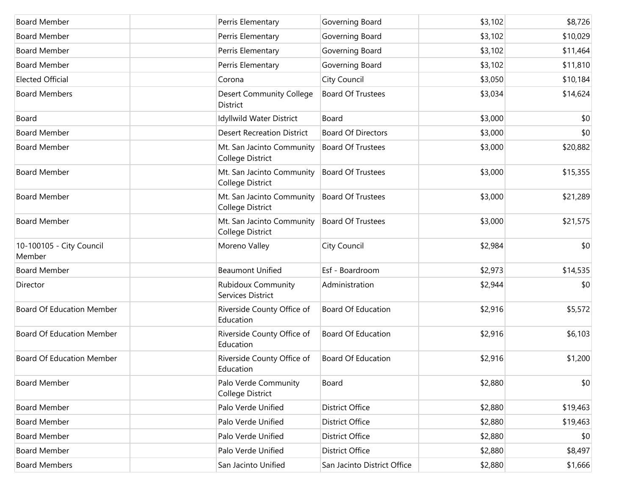| <b>Board Member</b>                | Perris Elementary                              | Governing Board             | \$3,102 | \$8,726  |
|------------------------------------|------------------------------------------------|-----------------------------|---------|----------|
| <b>Board Member</b>                | Perris Elementary                              | Governing Board             | \$3,102 | \$10,029 |
| <b>Board Member</b>                | Perris Elementary                              | Governing Board             | \$3,102 | \$11,464 |
| <b>Board Member</b>                | Perris Elementary                              | Governing Board             | \$3,102 | \$11,810 |
| <b>Elected Official</b>            | Corona                                         | City Council                | \$3,050 | \$10,184 |
| <b>Board Members</b>               | <b>Desert Community College</b><br>District    | <b>Board Of Trustees</b>    | \$3,034 | \$14,624 |
| Board                              | Idyllwild Water District                       | Board                       | \$3,000 | \$0      |
| <b>Board Member</b>                | <b>Desert Recreation District</b>              | <b>Board Of Directors</b>   | \$3,000 | \$0      |
| <b>Board Member</b>                | Mt. San Jacinto Community<br>College District  | <b>Board Of Trustees</b>    | \$3,000 | \$20,882 |
| <b>Board Member</b>                | Mt. San Jacinto Community<br>College District  | <b>Board Of Trustees</b>    | \$3,000 | \$15,355 |
| <b>Board Member</b>                | Mt. San Jacinto Community<br>College District  | <b>Board Of Trustees</b>    | \$3,000 | \$21,289 |
| <b>Board Member</b>                | Mt. San Jacinto Community<br>College District  | <b>Board Of Trustees</b>    | \$3,000 | \$21,575 |
| 10-100105 - City Council<br>Member | Moreno Valley                                  | City Council                | \$2,984 | \$0      |
| <b>Board Member</b>                | <b>Beaumont Unified</b>                        | Esf - Boardroom             | \$2,973 | \$14,535 |
| Director                           | <b>Rubidoux Community</b><br>Services District | Administration              | \$2,944 | \$0      |
| <b>Board Of Education Member</b>   | Riverside County Office of<br>Education        | <b>Board Of Education</b>   | \$2,916 | \$5,572  |
| <b>Board Of Education Member</b>   | Riverside County Office of<br>Education        | <b>Board Of Education</b>   | \$2,916 | \$6,103  |
| <b>Board Of Education Member</b>   | Riverside County Office of<br>Education        | <b>Board Of Education</b>   | \$2,916 | \$1,200  |
| <b>Board Member</b>                | Palo Verde Community<br>College District       | Board                       | \$2,880 | \$0      |
| <b>Board Member</b>                | Palo Verde Unified                             | <b>District Office</b>      | \$2,880 | \$19,463 |
| <b>Board Member</b>                | Palo Verde Unified                             | District Office             | \$2,880 | \$19,463 |
| <b>Board Member</b>                | Palo Verde Unified                             | <b>District Office</b>      | \$2,880 | \$0      |
| <b>Board Member</b>                | Palo Verde Unified                             | District Office             | \$2,880 | \$8,497  |
| <b>Board Members</b>               | San Jacinto Unified                            | San Jacinto District Office | \$2,880 | \$1,666  |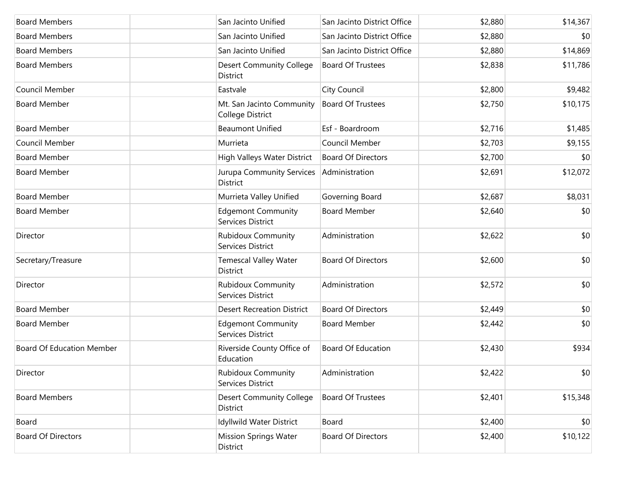| <b>Board Members</b>             | San Jacinto Unified                                | San Jacinto District Office | \$2,880 | \$14,367 |
|----------------------------------|----------------------------------------------------|-----------------------------|---------|----------|
| <b>Board Members</b>             | San Jacinto Unified                                | San Jacinto District Office | \$2,880 | \$0      |
| <b>Board Members</b>             | San Jacinto Unified                                | San Jacinto District Office | \$2,880 | \$14,869 |
| <b>Board Members</b>             | <b>Desert Community College</b><br><b>District</b> | <b>Board Of Trustees</b>    | \$2,838 | \$11,786 |
| Council Member                   | Eastvale                                           | City Council                | \$2,800 | \$9,482  |
| <b>Board Member</b>              | Mt. San Jacinto Community<br>College District      | <b>Board Of Trustees</b>    | \$2,750 | \$10,175 |
| <b>Board Member</b>              | <b>Beaumont Unified</b>                            | Esf - Boardroom             | \$2,716 | \$1,485  |
| Council Member                   | Murrieta                                           | Council Member              | \$2,703 | \$9,155  |
| <b>Board Member</b>              | High Valleys Water District                        | <b>Board Of Directors</b>   | \$2,700 | \$0      |
| <b>Board Member</b>              | Jurupa Community Services<br>District              | Administration              | \$2,691 | \$12,072 |
| <b>Board Member</b>              | Murrieta Valley Unified                            | Governing Board             | \$2,687 | \$8,031  |
| <b>Board Member</b>              | <b>Edgemont Community</b><br>Services District     | <b>Board Member</b>         | \$2,640 | \$0      |
| Director                         | <b>Rubidoux Community</b><br>Services District     | Administration              | \$2,622 | \$0      |
| Secretary/Treasure               | <b>Temescal Valley Water</b><br>District           | <b>Board Of Directors</b>   | \$2,600 | \$0      |
| Director                         | <b>Rubidoux Community</b><br>Services District     | Administration              | \$2,572 | \$0      |
| <b>Board Member</b>              | <b>Desert Recreation District</b>                  | <b>Board Of Directors</b>   | \$2,449 | \$0      |
| <b>Board Member</b>              | <b>Edgemont Community</b><br>Services District     | <b>Board Member</b>         | \$2,442 | \$0      |
| <b>Board Of Education Member</b> | Riverside County Office of<br>Education            | <b>Board Of Education</b>   | \$2,430 | \$934    |
| Director                         | <b>Rubidoux Community</b><br>Services District     | Administration              | \$2,422 | \$0      |
| <b>Board Members</b>             | <b>Desert Community College</b><br>District        | <b>Board Of Trustees</b>    | \$2,401 | \$15,348 |
| Board                            | Idyllwild Water District                           | Board                       | \$2,400 | \$0      |
| <b>Board Of Directors</b>        | <b>Mission Springs Water</b><br>District           | <b>Board Of Directors</b>   | \$2,400 | \$10,122 |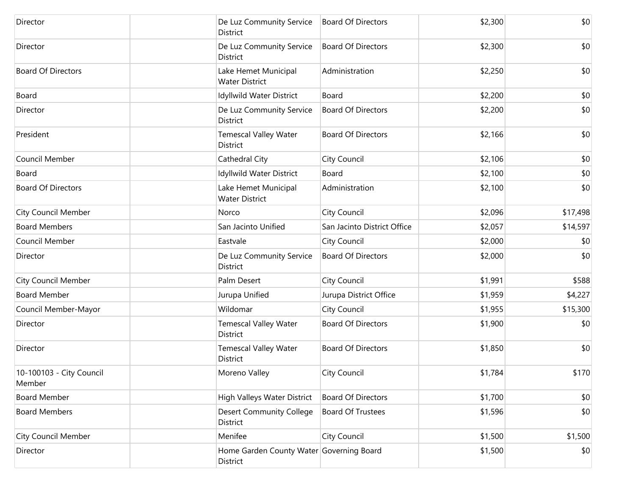| Director                           | De Luz Community Service<br>District            | <b>Board Of Directors</b>                | \$2,300 | \$0      |
|------------------------------------|-------------------------------------------------|------------------------------------------|---------|----------|
| Director                           | De Luz Community Service<br>District            | <b>Board Of Directors</b>                | \$2,300 | \$0      |
| <b>Board Of Directors</b>          | Lake Hemet Municipal<br><b>Water District</b>   | Administration                           | \$2,250 | \$0      |
| Board                              | Idyllwild Water District                        | Board                                    | \$2,200 | \$0      |
| Director                           | De Luz Community Service<br>District            | <b>Board Of Directors</b>                | \$2,200 | \$0      |
| President                          | <b>Temescal Valley Water</b><br>District        | <b>Board Of Directors</b>                | \$2,166 | \$0      |
| Council Member                     | Cathedral City                                  | City Council                             | \$2,106 | \$0      |
| Board                              | Idyllwild Water District                        | Board                                    | \$2,100 | \$0      |
| <b>Board Of Directors</b>          | Lake Hemet Municipal<br><b>Water District</b>   | Administration                           | \$2,100 | \$0      |
| <b>City Council Member</b>         | Norco                                           | City Council                             | \$2,096 | \$17,498 |
| <b>Board Members</b>               | San Jacinto Unified                             | San Jacinto District Office              | \$2,057 | \$14,597 |
| Council Member                     | Eastvale                                        | City Council                             | \$2,000 | \$0      |
| Director                           | De Luz Community Service<br>District            | <b>Board Of Directors</b>                | \$2,000 | \$0      |
| <b>City Council Member</b>         | Palm Desert                                     | City Council                             | \$1,991 | \$588    |
| <b>Board Member</b>                | Jurupa Unified                                  | Jurupa District Office                   | \$1,959 | \$4,227  |
| Council Member-Mayor               | Wildomar                                        | City Council                             | \$1,955 | \$15,300 |
| Director                           | <b>Temescal Valley Water</b><br><b>District</b> | <b>Board Of Directors</b>                | \$1,900 | \$0      |
| Director                           | <b>Temescal Valley Water</b><br>District        | <b>Board Of Directors</b>                | \$1,850 | \$0      |
| 10-100103 - City Council<br>Member | Moreno Valley                                   | City Council                             | \$1,784 | \$170    |
| <b>Board Member</b>                | High Valleys Water District                     | <b>Board Of Directors</b>                | \$1,700 | \$0      |
| <b>Board Members</b>               | <b>Desert Community College</b><br>District     | <b>Board Of Trustees</b>                 | \$1,596 | \$0      |
| <b>City Council Member</b>         | Menifee                                         | City Council                             | \$1,500 | \$1,500  |
| Director                           | District                                        | Home Garden County Water Governing Board | \$1,500 | \$0      |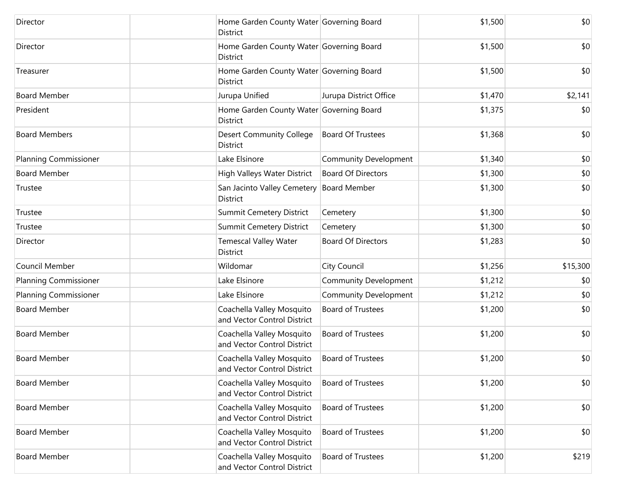| Director                     | Home Garden County Water Governing Board<br>District     |                              | \$1,500 | \$0      |
|------------------------------|----------------------------------------------------------|------------------------------|---------|----------|
| Director                     | Home Garden County Water Governing Board<br>District     |                              | \$1,500 | \$0      |
| Treasurer                    | Home Garden County Water Governing Board<br>District     |                              | \$1,500 | \$0      |
| <b>Board Member</b>          | Jurupa Unified                                           | Jurupa District Office       | \$1,470 | \$2,141  |
| President                    | Home Garden County Water Governing Board<br>District     |                              | \$1,375 | \$0      |
| <b>Board Members</b>         | <b>Desert Community College</b><br>District              | <b>Board Of Trustees</b>     | \$1,368 | \$0      |
| <b>Planning Commissioner</b> | Lake Elsinore                                            | Community Development        | \$1,340 | \$0      |
| <b>Board Member</b>          | High Valleys Water District                              | <b>Board Of Directors</b>    | \$1,300 | \$0      |
| Trustee                      | San Jacinto Valley Cemetery<br><b>District</b>           | <b>Board Member</b>          | \$1,300 | \$0      |
| Trustee                      | Summit Cemetery District                                 | Cemetery                     | \$1,300 | \$0      |
| Trustee                      | Summit Cemetery District                                 | Cemetery                     | \$1,300 | \$0      |
| Director                     | <b>Temescal Valley Water</b><br>District                 | <b>Board Of Directors</b>    | \$1,283 | \$0      |
| Council Member               | Wildomar                                                 | City Council                 | \$1,256 | \$15,300 |
| <b>Planning Commissioner</b> | Lake Elsinore                                            | <b>Community Development</b> | \$1,212 | \$0      |
| <b>Planning Commissioner</b> | Lake Elsinore                                            | <b>Community Development</b> | \$1,212 | \$0      |
| <b>Board Member</b>          | Coachella Valley Mosquito<br>and Vector Control District | <b>Board of Trustees</b>     | \$1,200 | \$0      |
| <b>Board Member</b>          | Coachella Valley Mosquito<br>and Vector Control District | <b>Board of Trustees</b>     | \$1,200 | \$0      |
| <b>Board Member</b>          | Coachella Valley Mosquito<br>and Vector Control District | <b>Board of Trustees</b>     | \$1,200 | \$0      |
| <b>Board Member</b>          | Coachella Valley Mosquito<br>and Vector Control District | <b>Board of Trustees</b>     | \$1,200 | \$0      |
| <b>Board Member</b>          | Coachella Valley Mosquito<br>and Vector Control District | <b>Board of Trustees</b>     | \$1,200 | \$0      |
| <b>Board Member</b>          | Coachella Valley Mosquito<br>and Vector Control District | <b>Board of Trustees</b>     | \$1,200 | \$0      |
| <b>Board Member</b>          | Coachella Valley Mosquito<br>and Vector Control District | Board of Trustees            | \$1,200 | \$219    |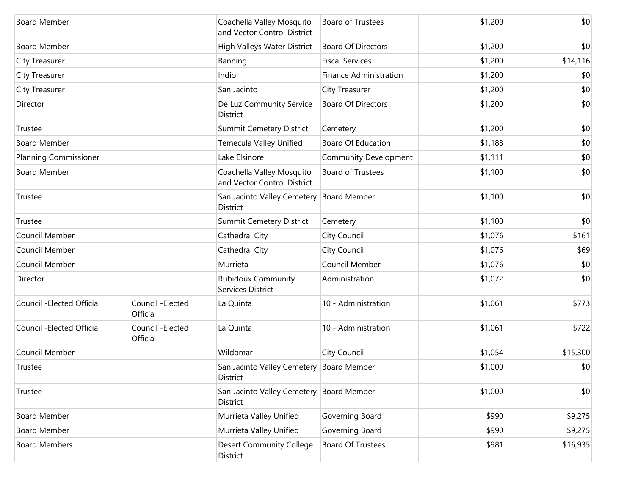| <b>Board Member</b>          |                               | Coachella Valley Mosquito<br>and Vector Control District | <b>Board of Trustees</b>      | \$1,200 | \$0      |
|------------------------------|-------------------------------|----------------------------------------------------------|-------------------------------|---------|----------|
| <b>Board Member</b>          |                               | High Valleys Water District                              | <b>Board Of Directors</b>     | \$1,200 | \$0      |
| <b>City Treasurer</b>        |                               | Banning                                                  | <b>Fiscal Services</b>        | \$1,200 | \$14,116 |
| <b>City Treasurer</b>        |                               | Indio                                                    | <b>Finance Administration</b> | \$1,200 | \$0      |
| <b>City Treasurer</b>        |                               | San Jacinto                                              | City Treasurer                | \$1,200 | \$0      |
| Director                     |                               | De Luz Community Service<br>District                     | <b>Board Of Directors</b>     | \$1,200 | \$0      |
| Trustee                      |                               | Summit Cemetery District                                 | Cemetery                      | \$1,200 | \$0      |
| <b>Board Member</b>          |                               | Temecula Valley Unified                                  | <b>Board Of Education</b>     | \$1,188 | \$0      |
| <b>Planning Commissioner</b> |                               | Lake Elsinore                                            | <b>Community Development</b>  | \$1,111 | \$0      |
| <b>Board Member</b>          |                               | Coachella Valley Mosquito<br>and Vector Control District | <b>Board of Trustees</b>      | \$1,100 | \$0      |
| Trustee                      |                               | San Jacinto Valley Cemetery<br>District                  | <b>Board Member</b>           | \$1,100 | \$0      |
| Trustee                      |                               | Summit Cemetery District                                 | Cemetery                      | \$1,100 | \$0      |
| Council Member               |                               | Cathedral City                                           | City Council                  | \$1,076 | \$161    |
| Council Member               |                               | Cathedral City                                           | City Council                  | \$1,076 | \$69     |
| Council Member               |                               | Murrieta                                                 | Council Member                | \$1,076 | \$0      |
| Director                     |                               | <b>Rubidoux Community</b><br>Services District           | Administration                | \$1,072 | \$0      |
| Council - Elected Official   | Council - Elected<br>Official | La Quinta                                                | 10 - Administration           | \$1,061 | \$773    |
| Council - Elected Official   | Council - Elected<br>Official | La Quinta                                                | 10 - Administration           | \$1,061 | \$722    |
| Council Member               |                               | Wildomar                                                 | City Council                  | \$1,054 | \$15,300 |
| Trustee                      |                               | San Jacinto Valley Cemetery<br>District                  | <b>Board Member</b>           | \$1,000 | \$0      |
| Trustee                      |                               | San Jacinto Valley Cemetery Board Member<br>District     |                               | \$1,000 | \$0      |
| <b>Board Member</b>          |                               | Murrieta Valley Unified                                  | Governing Board               | \$990   | \$9,275  |
| <b>Board Member</b>          |                               | Murrieta Valley Unified                                  | Governing Board               | \$990   | \$9,275  |
| <b>Board Members</b>         |                               | <b>Desert Community College</b><br>District              | <b>Board Of Trustees</b>      | \$981   | \$16,935 |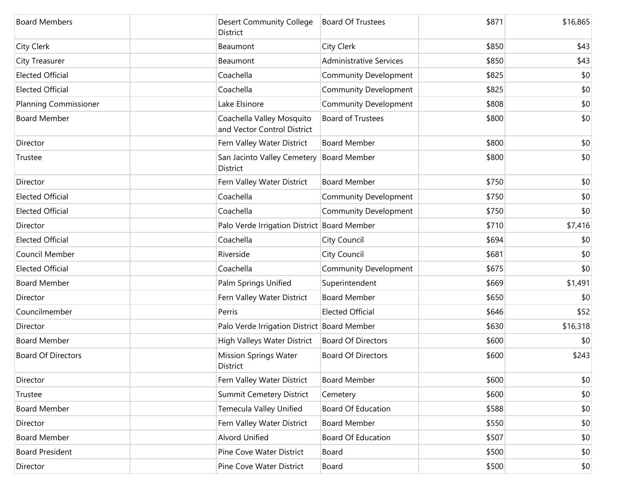| <b>Board Members</b>         | <b>Desert Community College</b><br>District              | <b>Board Of Trustees</b>       | \$871 | \$16,865 |
|------------------------------|----------------------------------------------------------|--------------------------------|-------|----------|
| <b>City Clerk</b>            | Beaumont                                                 | City Clerk                     | \$850 | \$43     |
| <b>City Treasurer</b>        | Beaumont                                                 | <b>Administrative Services</b> | \$850 | \$43     |
| <b>Elected Official</b>      | Coachella                                                | Community Development          | \$825 | \$0      |
| <b>Elected Official</b>      | Coachella                                                | Community Development          | \$825 | \$0      |
| <b>Planning Commissioner</b> | Lake Elsinore                                            | Community Development          | \$808 | \$0      |
| <b>Board Member</b>          | Coachella Valley Mosquito<br>and Vector Control District | <b>Board of Trustees</b>       | \$800 | \$0      |
| Director                     | Fern Valley Water District                               | <b>Board Member</b>            | \$800 | \$0      |
| Trustee                      | San Jacinto Valley Cemetery<br>District                  | <b>Board Member</b>            | \$800 | \$0      |
| Director                     | Fern Valley Water District                               | <b>Board Member</b>            | \$750 | \$0      |
| <b>Elected Official</b>      | Coachella                                                | <b>Community Development</b>   | \$750 | \$0      |
| <b>Elected Official</b>      | Coachella                                                | <b>Community Development</b>   | \$750 | \$0      |
| Director                     | Palo Verde Irrigation District Board Member              |                                | \$710 | \$7,416  |
| <b>Elected Official</b>      | Coachella                                                | City Council                   | \$694 | \$0      |
| Council Member               | Riverside                                                | City Council                   | \$681 | \$0      |
| <b>Elected Official</b>      | Coachella                                                | <b>Community Development</b>   | \$675 | \$0      |
| <b>Board Member</b>          | Palm Springs Unified                                     | Superintendent                 | \$669 | \$1,491  |
| Director                     | Fern Valley Water District                               | <b>Board Member</b>            | \$650 | \$0      |
| Councilmember                | Perris                                                   | <b>Elected Official</b>        | \$646 | \$52     |
| Director                     | Palo Verde Irrigation District Board Member              |                                | \$630 | \$16,318 |
| <b>Board Member</b>          | High Valleys Water District                              | <b>Board Of Directors</b>      | \$600 | \$0      |
| <b>Board Of Directors</b>    | <b>Mission Springs Water</b><br>District                 | <b>Board Of Directors</b>      | \$600 | \$243    |
| Director                     | Fern Valley Water District                               | <b>Board Member</b>            | \$600 | \$0      |
| Trustee                      | <b>Summit Cemetery District</b>                          | Cemetery                       | \$600 | \$0      |
| <b>Board Member</b>          | Temecula Valley Unified                                  | <b>Board Of Education</b>      | \$588 | \$0      |
| Director                     | Fern Valley Water District                               | <b>Board Member</b>            | \$550 | \$0      |
| <b>Board Member</b>          | Alvord Unified                                           | <b>Board Of Education</b>      | \$507 | \$0      |
| <b>Board President</b>       | Pine Cove Water District                                 | Board                          | \$500 | \$0      |
| Director                     | Pine Cove Water District                                 | Board                          | \$500 | \$0      |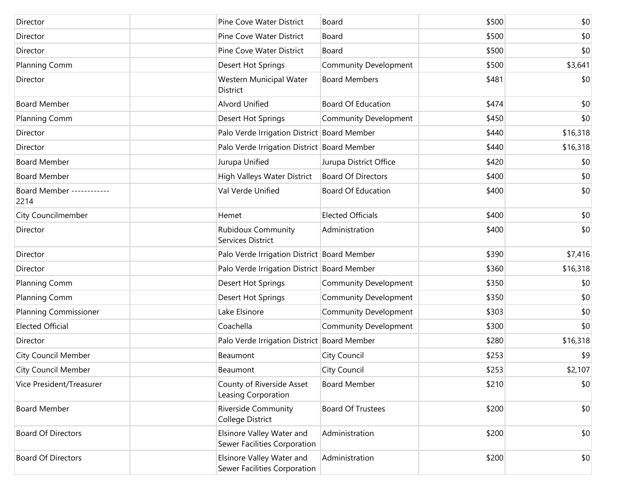| Director                          | Pine Cove Water District                                  | Board                        | \$500 | \$0      |
|-----------------------------------|-----------------------------------------------------------|------------------------------|-------|----------|
| Director                          | Pine Cove Water District                                  | Board                        | \$500 | \$0      |
| Director                          | Pine Cove Water District                                  | Board                        | \$500 | \$0      |
| Planning Comm                     | Desert Hot Springs                                        | Community Development        | \$500 | \$3,641  |
| Director                          | Western Municipal Water<br>District                       | <b>Board Members</b>         | \$481 | \$0      |
| <b>Board Member</b>               | <b>Alvord Unified</b>                                     | <b>Board Of Education</b>    | \$474 | \$0      |
| Planning Comm                     | Desert Hot Springs                                        | <b>Community Development</b> | \$450 | \$0      |
| Director                          | Palo Verde Irrigation District Board Member               |                              | \$440 | \$16,318 |
| Director                          | Palo Verde Irrigation District Board Member               |                              | \$440 | \$16,318 |
| <b>Board Member</b>               | Jurupa Unified                                            | Jurupa District Office       | \$420 | \$0      |
| <b>Board Member</b>               | High Valleys Water District                               | <b>Board Of Directors</b>    | \$400 | \$0      |
| Board Member ------------<br>2214 | Val Verde Unified                                         | <b>Board Of Education</b>    | \$400 | \$0      |
| City Councilmember                | Hemet                                                     | <b>Elected Officials</b>     | \$400 | \$0      |
| Director                          | <b>Rubidoux Community</b><br>Services District            | Administration               | \$400 | \$0      |
| Director                          | Palo Verde Irrigation District Board Member               |                              | \$390 | \$7,416  |
| Director                          | Palo Verde Irrigation District Board Member               |                              | \$360 | \$16,318 |
| Planning Comm                     | Desert Hot Springs                                        | <b>Community Development</b> | \$350 | \$0      |
| Planning Comm                     | Desert Hot Springs                                        | Community Development        | \$350 | \$0      |
| <b>Planning Commissioner</b>      | Lake Elsinore                                             | Community Development        | \$303 | \$0      |
| <b>Elected Official</b>           | Coachella                                                 | Community Development        | \$300 | \$0      |
| Director                          | Palo Verde Irrigation District Board Member               |                              | \$280 | \$16,318 |
| <b>City Council Member</b>        | Beaumont                                                  | City Council                 | \$253 | \$9      |
| <b>City Council Member</b>        | Beaumont                                                  | City Council                 | \$253 | \$2,107  |
| Vice President/Treasurer          | County of Riverside Asset<br>Leasing Corporation          | <b>Board Member</b>          | \$210 | \$0      |
| <b>Board Member</b>               | <b>Riverside Community</b><br>College District            | <b>Board Of Trustees</b>     | \$200 | \$0      |
| <b>Board Of Directors</b>         | Elsinore Valley Water and<br>Sewer Facilities Corporation | Administration               | \$200 | \$0      |
| <b>Board Of Directors</b>         | Elsinore Valley Water and<br>Sewer Facilities Corporation | Administration               | \$200 | \$0      |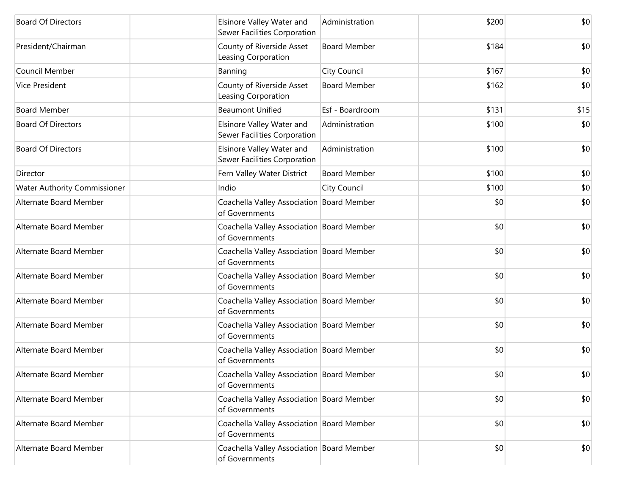| <b>Board Of Directors</b>           | Elsinore Valley Water and<br>Sewer Facilities Corporation   | Administration      | \$200 | \$0  |
|-------------------------------------|-------------------------------------------------------------|---------------------|-------|------|
| President/Chairman                  | County of Riverside Asset<br>Leasing Corporation            | <b>Board Member</b> | \$184 | \$0  |
| Council Member                      | Banning                                                     | City Council        | \$167 | \$0  |
| <b>Vice President</b>               | County of Riverside Asset<br>Leasing Corporation            | <b>Board Member</b> | \$162 | \$0  |
| <b>Board Member</b>                 | <b>Beaumont Unified</b>                                     | Esf - Boardroom     | \$131 | \$15 |
| <b>Board Of Directors</b>           | Elsinore Valley Water and<br>Sewer Facilities Corporation   | Administration      | \$100 | \$0  |
| <b>Board Of Directors</b>           | Elsinore Valley Water and<br>Sewer Facilities Corporation   | Administration      | \$100 | \$0  |
| Director                            | Fern Valley Water District                                  | <b>Board Member</b> | \$100 | \$0  |
| <b>Water Authority Commissioner</b> | Indio                                                       | City Council        | \$100 | \$0  |
| Alternate Board Member              | Coachella Valley Association Board Member<br>of Governments |                     | \$0   | \$0  |
| Alternate Board Member              | Coachella Valley Association Board Member<br>of Governments |                     | \$0   | \$0  |
| Alternate Board Member              | Coachella Valley Association Board Member<br>of Governments |                     | \$0   | \$0  |
| Alternate Board Member              | Coachella Valley Association Board Member<br>of Governments |                     | \$0   | \$0  |
| Alternate Board Member              | Coachella Valley Association Board Member<br>of Governments |                     | \$0   | \$0  |
| Alternate Board Member              | Coachella Valley Association Board Member<br>of Governments |                     | \$0   | \$0  |
| Alternate Board Member              | Coachella Valley Association Board Member<br>of Governments |                     | \$0   | \$0  |
| Alternate Board Member              | Coachella Valley Association Board Member<br>of Governments |                     | \$0   | \$0  |
| Alternate Board Member              | Coachella Valley Association Board Member<br>of Governments |                     | \$0   | \$0  |
| Alternate Board Member              | Coachella Valley Association Board Member<br>of Governments |                     | \$0   | \$0  |
| Alternate Board Member              | Coachella Valley Association Board Member<br>of Governments |                     | \$0   | \$0  |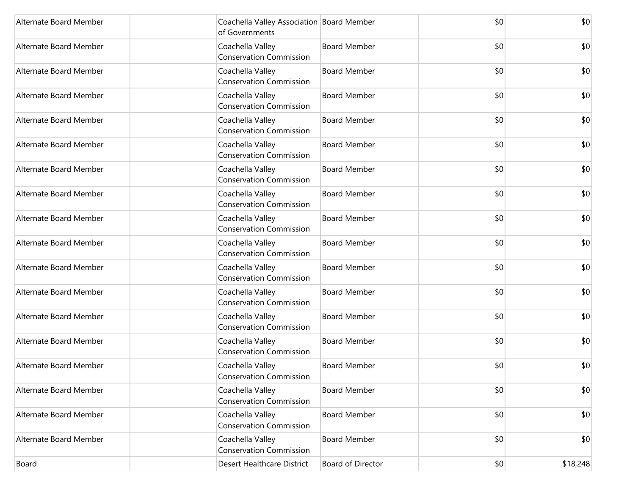| Alternate Board Member | Coachella Valley Association Board Member<br>of Governments |                     | \$0 | \$0      |
|------------------------|-------------------------------------------------------------|---------------------|-----|----------|
| Alternate Board Member | Coachella Valley<br><b>Conservation Commission</b>          | <b>Board Member</b> | \$0 | \$0      |
| Alternate Board Member | Coachella Valley<br><b>Conservation Commission</b>          | <b>Board Member</b> | \$0 | \$0      |
| Alternate Board Member | Coachella Valley<br><b>Conservation Commission</b>          | <b>Board Member</b> | \$0 | \$0      |
| Alternate Board Member | Coachella Valley<br><b>Conservation Commission</b>          | <b>Board Member</b> | \$0 | \$0      |
| Alternate Board Member | Coachella Valley<br><b>Conservation Commission</b>          | <b>Board Member</b> | \$0 | \$0      |
| Alternate Board Member | Coachella Valley<br><b>Conservation Commission</b>          | <b>Board Member</b> | \$0 | \$0      |
| Alternate Board Member | Coachella Valley<br><b>Conservation Commission</b>          | <b>Board Member</b> | \$0 | \$0      |
| Alternate Board Member | Coachella Valley<br><b>Conservation Commission</b>          | <b>Board Member</b> | \$0 | \$0      |
| Alternate Board Member | Coachella Valley<br><b>Conservation Commission</b>          | <b>Board Member</b> | \$0 | \$0      |
| Alternate Board Member | Coachella Valley<br><b>Conservation Commission</b>          | <b>Board Member</b> | \$0 | \$0      |
| Alternate Board Member | Coachella Valley<br><b>Conservation Commission</b>          | <b>Board Member</b> | \$0 | \$0      |
| Alternate Board Member | Coachella Valley<br><b>Conservation Commission</b>          | <b>Board Member</b> | \$0 | \$0      |
| Alternate Board Member | Coachella Valley<br><b>Conservation Commission</b>          | <b>Board Member</b> | \$0 | \$0      |
| Alternate Board Member | Coachella Valley<br><b>Conservation Commission</b>          | <b>Board Member</b> | \$0 | \$0      |
| Alternate Board Member | Coachella Valley<br><b>Conservation Commission</b>          | <b>Board Member</b> | \$0 | \$0      |
| Alternate Board Member | Coachella Valley<br><b>Conservation Commission</b>          | <b>Board Member</b> | \$0 | \$0      |
| Alternate Board Member | Coachella Valley<br><b>Conservation Commission</b>          | <b>Board Member</b> | \$0 | \$0      |
| Board                  | Desert Healthcare District                                  | Board of Director   | \$0 | \$18,248 |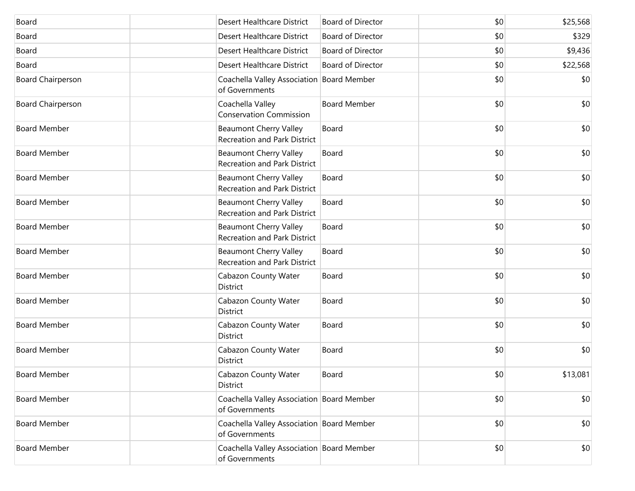| Board                    | <b>Desert Healthcare District</b>                                    | <b>Board of Director</b> | \$0 | \$25,568 |
|--------------------------|----------------------------------------------------------------------|--------------------------|-----|----------|
| Board                    | <b>Desert Healthcare District</b>                                    | <b>Board of Director</b> | \$0 | \$329    |
| Board                    | Desert Healthcare District                                           | <b>Board of Director</b> | \$0 | \$9,436  |
| Board                    | Desert Healthcare District                                           | <b>Board of Director</b> | \$0 | \$22,568 |
| <b>Board Chairperson</b> | Coachella Valley Association Board Member<br>of Governments          |                          | \$0 | \$0      |
| <b>Board Chairperson</b> | Coachella Valley<br><b>Conservation Commission</b>                   | <b>Board Member</b>      | \$0 | \$0      |
| <b>Board Member</b>      | <b>Beaumont Cherry Valley</b><br><b>Recreation and Park District</b> | Board                    | \$0 | \$0      |
| <b>Board Member</b>      | <b>Beaumont Cherry Valley</b><br>Recreation and Park District        | Board                    | \$0 | \$0      |
| <b>Board Member</b>      | <b>Beaumont Cherry Valley</b><br>Recreation and Park District        | Board                    | \$0 | \$0      |
| <b>Board Member</b>      | <b>Beaumont Cherry Valley</b><br>Recreation and Park District        | Board                    | \$0 | \$0      |
| <b>Board Member</b>      | <b>Beaumont Cherry Valley</b><br><b>Recreation and Park District</b> | Board                    | \$0 | \$0      |
| <b>Board Member</b>      | <b>Beaumont Cherry Valley</b><br>Recreation and Park District        | Board                    | \$0 | \$0      |
| <b>Board Member</b>      | Cabazon County Water<br><b>District</b>                              | Board                    | \$0 | \$0      |
| <b>Board Member</b>      | Cabazon County Water<br>District                                     | Board                    | \$0 | \$0      |
| <b>Board Member</b>      | Cabazon County Water<br>District                                     | Board                    | \$0 | \$0      |
| <b>Board Member</b>      | Cabazon County Water<br>District                                     | Board                    | \$0 | \$0      |
| Board Member             | Cabazon County Water<br>District                                     | Board                    | \$0 | \$13,081 |
| <b>Board Member</b>      | Coachella Valley Association Board Member<br>of Governments          |                          | \$0 | \$0      |
| <b>Board Member</b>      | Coachella Valley Association Board Member<br>of Governments          |                          | \$0 | \$0      |
| <b>Board Member</b>      | Coachella Valley Association Board Member<br>of Governments          |                          | \$0 | \$0      |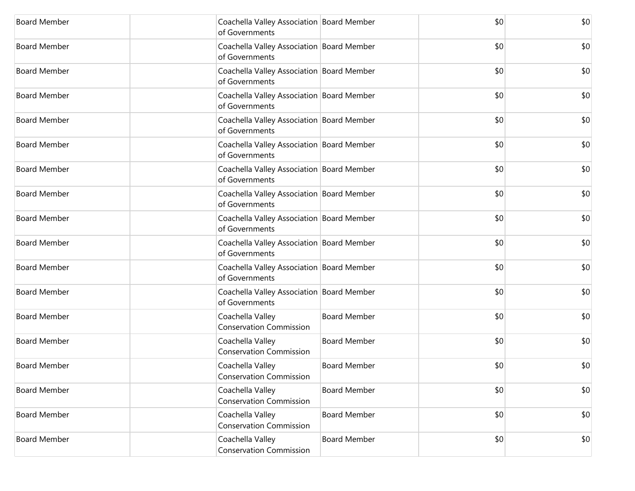| <b>Board Member</b> | Coachella Valley Association Board Member<br>of Governments |                     | \$0 | \$0 |
|---------------------|-------------------------------------------------------------|---------------------|-----|-----|
| <b>Board Member</b> | Coachella Valley Association Board Member<br>of Governments |                     | \$0 | \$0 |
| <b>Board Member</b> | Coachella Valley Association Board Member<br>of Governments |                     | \$0 | \$0 |
| <b>Board Member</b> | Coachella Valley Association Board Member<br>of Governments |                     | \$0 | \$0 |
| <b>Board Member</b> | Coachella Valley Association Board Member<br>of Governments |                     | \$0 | \$0 |
| <b>Board Member</b> | Coachella Valley Association Board Member<br>of Governments |                     | \$0 | \$0 |
| <b>Board Member</b> | Coachella Valley Association Board Member<br>of Governments |                     | \$0 | \$0 |
| <b>Board Member</b> | Coachella Valley Association Board Member<br>of Governments |                     | \$0 | \$0 |
| <b>Board Member</b> | Coachella Valley Association Board Member<br>of Governments |                     | \$0 | \$0 |
| <b>Board Member</b> | Coachella Valley Association Board Member<br>of Governments |                     | \$0 | \$0 |
| <b>Board Member</b> | Coachella Valley Association Board Member<br>of Governments |                     | \$0 | \$0 |
| <b>Board Member</b> | Coachella Valley Association Board Member<br>of Governments |                     | \$0 | \$0 |
| <b>Board Member</b> | Coachella Valley<br><b>Conservation Commission</b>          | <b>Board Member</b> | \$0 | \$0 |
| <b>Board Member</b> | Coachella Valley<br><b>Conservation Commission</b>          | <b>Board Member</b> | \$0 | \$0 |
| <b>Board Member</b> | Coachella Valley<br><b>Conservation Commission</b>          | <b>Board Member</b> | \$0 | \$0 |
| <b>Board Member</b> | Coachella Valley<br><b>Conservation Commission</b>          | <b>Board Member</b> | \$0 | \$0 |
| <b>Board Member</b> | Coachella Valley<br><b>Conservation Commission</b>          | <b>Board Member</b> | \$0 | \$0 |
| <b>Board Member</b> | Coachella Valley<br><b>Conservation Commission</b>          | <b>Board Member</b> | \$0 | \$0 |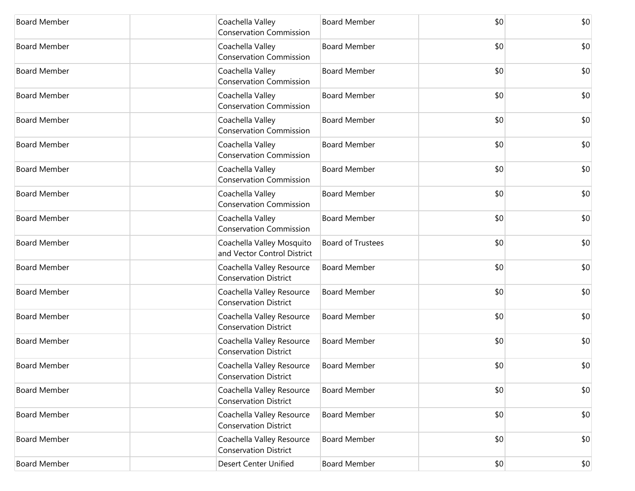| <b>Board Member</b> | Coachella Valley<br><b>Conservation Commission</b>        | <b>Board Member</b>      | \$0 | \$0 |
|---------------------|-----------------------------------------------------------|--------------------------|-----|-----|
| <b>Board Member</b> | Coachella Valley<br><b>Conservation Commission</b>        | <b>Board Member</b>      | \$0 | \$0 |
| <b>Board Member</b> | Coachella Valley<br><b>Conservation Commission</b>        | <b>Board Member</b>      | \$0 | \$0 |
| <b>Board Member</b> | Coachella Valley<br><b>Conservation Commission</b>        | <b>Board Member</b>      | \$0 | \$0 |
| <b>Board Member</b> | Coachella Valley<br><b>Conservation Commission</b>        | <b>Board Member</b>      | \$0 | \$0 |
| <b>Board Member</b> | Coachella Valley<br><b>Conservation Commission</b>        | <b>Board Member</b>      | \$0 | \$0 |
| <b>Board Member</b> | Coachella Valley<br><b>Conservation Commission</b>        | <b>Board Member</b>      | \$0 | \$0 |
| <b>Board Member</b> | Coachella Valley<br><b>Conservation Commission</b>        | <b>Board Member</b>      | \$0 | \$0 |
| <b>Board Member</b> | Coachella Valley<br><b>Conservation Commission</b>        | <b>Board Member</b>      | \$0 | \$0 |
| <b>Board Member</b> | Coachella Valley Mosquito<br>and Vector Control District  | <b>Board of Trustees</b> | \$0 | \$0 |
| <b>Board Member</b> | Coachella Valley Resource<br><b>Conservation District</b> | <b>Board Member</b>      | \$0 | \$0 |
| <b>Board Member</b> | Coachella Valley Resource<br><b>Conservation District</b> | <b>Board Member</b>      | \$0 | \$0 |
| <b>Board Member</b> | Coachella Valley Resource<br><b>Conservation District</b> | <b>Board Member</b>      | \$0 | \$0 |
| <b>Board Member</b> | Coachella Valley Resource<br><b>Conservation District</b> | <b>Board Member</b>      | \$0 | \$0 |
| <b>Board Member</b> | Coachella Valley Resource<br><b>Conservation District</b> | <b>Board Member</b>      | \$0 | \$0 |
| <b>Board Member</b> | Coachella Valley Resource<br><b>Conservation District</b> | <b>Board Member</b>      | \$0 | \$0 |
| <b>Board Member</b> | Coachella Valley Resource<br><b>Conservation District</b> | <b>Board Member</b>      | \$0 | \$0 |
| <b>Board Member</b> | Coachella Valley Resource<br><b>Conservation District</b> | <b>Board Member</b>      | \$0 | \$0 |
| <b>Board Member</b> | <b>Desert Center Unified</b>                              | <b>Board Member</b>      | \$0 | \$0 |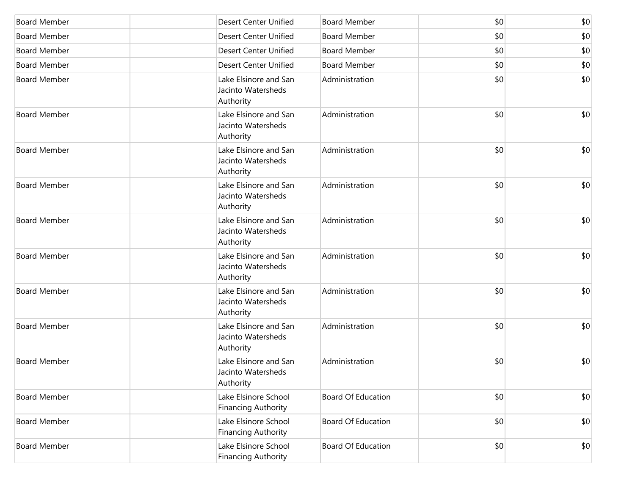| <b>Board Member</b> | <b>Desert Center Unified</b>                             | <b>Board Member</b>       | \$0 | \$0 |
|---------------------|----------------------------------------------------------|---------------------------|-----|-----|
| <b>Board Member</b> | <b>Desert Center Unified</b>                             | <b>Board Member</b>       | \$0 | \$0 |
| <b>Board Member</b> | <b>Desert Center Unified</b>                             | <b>Board Member</b>       | \$0 | \$0 |
| <b>Board Member</b> | <b>Desert Center Unified</b>                             | <b>Board Member</b>       | \$0 | \$0 |
| <b>Board Member</b> | Lake Elsinore and San<br>Jacinto Watersheds<br>Authority | Administration            | \$0 | \$0 |
| <b>Board Member</b> | Lake Elsinore and San<br>Jacinto Watersheds<br>Authority | Administration            | \$0 | \$0 |
| <b>Board Member</b> | Lake Elsinore and San<br>Jacinto Watersheds<br>Authority | Administration            | \$0 | \$0 |
| <b>Board Member</b> | Lake Elsinore and San<br>Jacinto Watersheds<br>Authority | Administration            | \$0 | \$0 |
| <b>Board Member</b> | Lake Elsinore and San<br>Jacinto Watersheds<br>Authority | Administration            | \$0 | \$0 |
| <b>Board Member</b> | Lake Elsinore and San<br>Jacinto Watersheds<br>Authority | Administration            | \$0 | \$0 |
| <b>Board Member</b> | Lake Elsinore and San<br>Jacinto Watersheds<br>Authority | Administration            | \$0 | \$0 |
| <b>Board Member</b> | Lake Elsinore and San<br>Jacinto Watersheds<br>Authority | Administration            | \$0 | \$0 |
| <b>Board Member</b> | Lake Elsinore and San<br>Jacinto Watersheds<br>Authority | Administration            | \$0 | \$0 |
| <b>Board Member</b> | Lake Elsinore School<br><b>Financing Authority</b>       | <b>Board Of Education</b> | \$0 | \$0 |
| <b>Board Member</b> | Lake Elsinore School<br><b>Financing Authority</b>       | <b>Board Of Education</b> | \$0 | \$0 |
| <b>Board Member</b> | Lake Elsinore School<br><b>Financing Authority</b>       | Board Of Education        | \$0 | \$0 |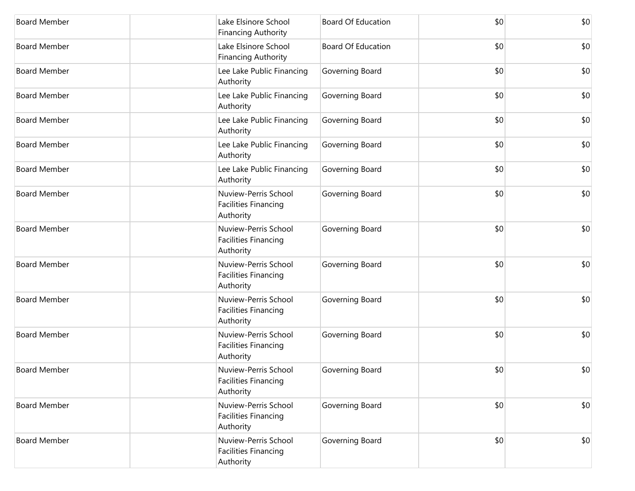| <b>Board Member</b> | Lake Elsinore School<br><b>Financing Authority</b>               | <b>Board Of Education</b> | \$0 | \$0 |
|---------------------|------------------------------------------------------------------|---------------------------|-----|-----|
| <b>Board Member</b> | Lake Elsinore School<br><b>Financing Authority</b>               | <b>Board Of Education</b> | \$0 | \$0 |
| <b>Board Member</b> | Lee Lake Public Financing<br>Authority                           | Governing Board           | \$0 | \$0 |
| <b>Board Member</b> | Lee Lake Public Financing<br>Authority                           | Governing Board           | \$0 | \$0 |
| <b>Board Member</b> | Lee Lake Public Financing<br>Authority                           | Governing Board           | \$0 | \$0 |
| <b>Board Member</b> | Lee Lake Public Financing<br>Authority                           | Governing Board           | \$0 | \$0 |
| <b>Board Member</b> | Lee Lake Public Financing<br>Authority                           | Governing Board           | \$0 | \$0 |
| <b>Board Member</b> | Nuview-Perris School<br>Facilities Financing<br>Authority        | Governing Board           | \$0 | \$0 |
| <b>Board Member</b> | Nuview-Perris School<br><b>Facilities Financing</b><br>Authority | Governing Board           | \$0 | \$0 |
| <b>Board Member</b> | Nuview-Perris School<br>Facilities Financing<br>Authority        | Governing Board           | \$0 | \$0 |
| <b>Board Member</b> | Nuview-Perris School<br><b>Facilities Financing</b><br>Authority | Governing Board           | \$0 | \$0 |
| <b>Board Member</b> | Nuview-Perris School<br><b>Facilities Financing</b><br>Authority | Governing Board           | \$0 | \$0 |
| <b>Board Member</b> | Nuview-Perris School<br>Facilities Financing<br>Authority        | Governing Board           | \$0 | \$0 |
| <b>Board Member</b> | Nuview-Perris School<br>Facilities Financing<br>Authority        | Governing Board           | \$0 | \$0 |
| <b>Board Member</b> | Nuview-Perris School<br><b>Facilities Financing</b><br>Authority | Governing Board           | \$0 | \$0 |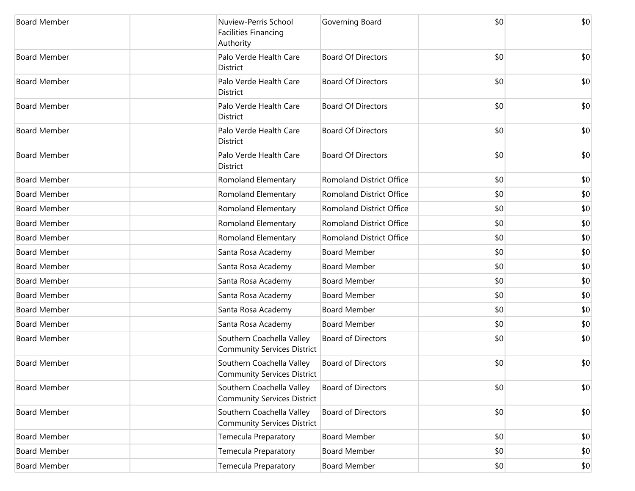| <b>Board Member</b> | Authority       | Nuview-Perris School<br><b>Facilities Financing</b>             | Governing Board                 | \$0 | \$0 |
|---------------------|-----------------|-----------------------------------------------------------------|---------------------------------|-----|-----|
| <b>Board Member</b> | <b>District</b> | Palo Verde Health Care                                          | <b>Board Of Directors</b>       | \$0 | \$0 |
| <b>Board Member</b> | District        | Palo Verde Health Care                                          | <b>Board Of Directors</b>       | \$0 | \$0 |
| <b>Board Member</b> | <b>District</b> | Palo Verde Health Care                                          | <b>Board Of Directors</b>       | \$0 | \$0 |
| <b>Board Member</b> | District        | Palo Verde Health Care                                          | <b>Board Of Directors</b>       | \$0 | \$0 |
| <b>Board Member</b> | District        | Palo Verde Health Care                                          | <b>Board Of Directors</b>       | \$0 | \$0 |
| <b>Board Member</b> |                 | Romoland Elementary                                             | <b>Romoland District Office</b> | \$0 | \$0 |
| <b>Board Member</b> |                 | Romoland Elementary                                             | <b>Romoland District Office</b> | \$0 | \$0 |
| <b>Board Member</b> |                 | Romoland Elementary                                             | <b>Romoland District Office</b> | \$0 | \$0 |
| <b>Board Member</b> |                 | Romoland Elementary                                             | <b>Romoland District Office</b> | \$0 | \$0 |
| <b>Board Member</b> |                 | Romoland Elementary                                             | <b>Romoland District Office</b> | \$0 | \$0 |
| <b>Board Member</b> |                 | Santa Rosa Academy                                              | <b>Board Member</b>             | \$0 | \$0 |
| <b>Board Member</b> |                 | Santa Rosa Academy                                              | <b>Board Member</b>             | \$0 | \$0 |
| <b>Board Member</b> |                 | Santa Rosa Academy                                              | <b>Board Member</b>             | \$0 | \$0 |
| <b>Board Member</b> |                 | Santa Rosa Academy                                              | <b>Board Member</b>             | \$0 | \$0 |
| <b>Board Member</b> |                 | Santa Rosa Academy                                              | <b>Board Member</b>             | \$0 | \$0 |
| <b>Board Member</b> |                 | Santa Rosa Academy                                              | <b>Board Member</b>             | \$0 | \$0 |
| <b>Board Member</b> |                 | Southern Coachella Valley<br><b>Community Services District</b> | <b>Board of Directors</b>       | \$0 | \$0 |
| <b>Board Member</b> |                 | Southern Coachella Valley<br><b>Community Services District</b> | <b>Board of Directors</b>       | \$0 | \$0 |
| <b>Board Member</b> |                 | Southern Coachella Valley<br><b>Community Services District</b> | <b>Board of Directors</b>       | \$0 | \$0 |
| <b>Board Member</b> |                 | Southern Coachella Valley<br><b>Community Services District</b> | <b>Board of Directors</b>       | \$0 | \$0 |
| <b>Board Member</b> |                 | Temecula Preparatory                                            | <b>Board Member</b>             | \$0 | \$0 |
| <b>Board Member</b> |                 | Temecula Preparatory                                            | <b>Board Member</b>             | \$0 | \$0 |
| <b>Board Member</b> |                 | Temecula Preparatory                                            | <b>Board Member</b>             | \$0 | \$0 |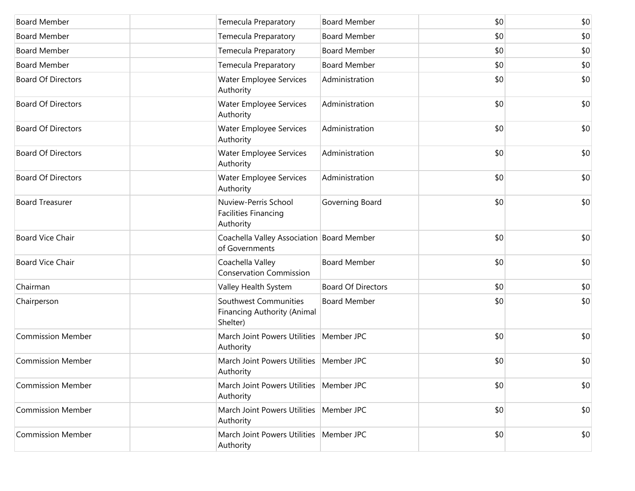| <b>Board Member</b>       | <b>Temecula Preparatory</b>                                             | <b>Board Member</b>       | \$0 | \$0 |
|---------------------------|-------------------------------------------------------------------------|---------------------------|-----|-----|
| <b>Board Member</b>       | Temecula Preparatory                                                    | <b>Board Member</b>       | \$0 | \$0 |
| <b>Board Member</b>       | Temecula Preparatory                                                    | <b>Board Member</b>       | \$0 | \$0 |
| <b>Board Member</b>       | Temecula Preparatory                                                    | <b>Board Member</b>       | \$0 | \$0 |
| <b>Board Of Directors</b> | Water Employee Services<br>Authority                                    | Administration            | \$0 | \$0 |
| <b>Board Of Directors</b> | Water Employee Services<br>Authority                                    | Administration            | \$0 | \$0 |
| <b>Board Of Directors</b> | Water Employee Services<br>Authority                                    | Administration            | \$0 | \$0 |
| <b>Board Of Directors</b> | Water Employee Services<br>Authority                                    | Administration            | \$0 | \$0 |
| <b>Board Of Directors</b> | Water Employee Services<br>Authority                                    | Administration            | \$0 | \$0 |
| <b>Board Treasurer</b>    | Nuview-Perris School<br><b>Facilities Financing</b><br>Authority        | Governing Board           | \$0 | \$0 |
| <b>Board Vice Chair</b>   | Coachella Valley Association Board Member<br>of Governments             |                           | \$0 | \$0 |
| <b>Board Vice Chair</b>   | Coachella Valley<br><b>Conservation Commission</b>                      | <b>Board Member</b>       | \$0 | \$0 |
| Chairman                  | Valley Health System                                                    | <b>Board Of Directors</b> | \$0 | \$0 |
| Chairperson               | Southwest Communities<br><b>Financing Authority (Animal</b><br>Shelter) | <b>Board Member</b>       | \$0 | \$0 |
| <b>Commission Member</b>  | March Joint Powers Utilities<br>Authority                               | Member JPC                | \$0 | \$0 |
| <b>Commission Member</b>  | March Joint Powers Utilities<br>Authority                               | Member JPC                | \$0 | \$0 |
| <b>Commission Member</b>  | March Joint Powers Utilities   Member JPC<br>Authority                  |                           | \$0 | \$0 |
| <b>Commission Member</b>  | March Joint Powers Utilities<br>Authority                               | Member JPC                | \$0 | \$0 |
| <b>Commission Member</b>  | March Joint Powers Utilities<br>Authority                               | Member JPC                | \$0 | \$0 |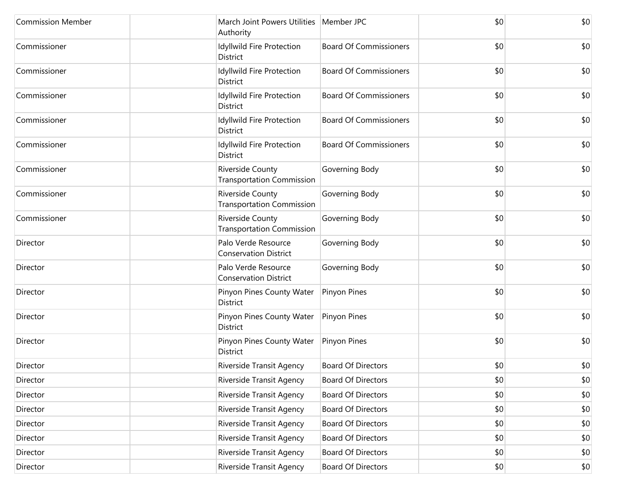| <b>Commission Member</b> | March Joint Powers Utilities   Member JPC<br>Authority      |                               | \$0 | \$0 |
|--------------------------|-------------------------------------------------------------|-------------------------------|-----|-----|
| Commissioner             | Idyllwild Fire Protection<br>District                       | <b>Board Of Commissioners</b> | \$0 | \$0 |
| Commissioner             | Idyllwild Fire Protection<br><b>District</b>                | <b>Board Of Commissioners</b> | \$0 | \$0 |
| Commissioner             | Idyllwild Fire Protection<br>District                       | <b>Board Of Commissioners</b> | \$0 | \$0 |
| Commissioner             | Idyllwild Fire Protection<br><b>District</b>                | <b>Board Of Commissioners</b> | \$0 | \$0 |
| Commissioner             | Idyllwild Fire Protection<br><b>District</b>                | <b>Board Of Commissioners</b> | \$0 | \$0 |
| Commissioner             | <b>Riverside County</b><br><b>Transportation Commission</b> | Governing Body                | \$0 | \$0 |
| Commissioner             | Riverside County<br><b>Transportation Commission</b>        | Governing Body                | \$0 | \$0 |
| Commissioner             | <b>Riverside County</b><br><b>Transportation Commission</b> | Governing Body                | \$0 | \$0 |
| Director                 | Palo Verde Resource<br><b>Conservation District</b>         | Governing Body                | \$0 | \$0 |
| Director                 | Palo Verde Resource<br><b>Conservation District</b>         | Governing Body                | \$0 | \$0 |
| Director                 | Pinyon Pines County Water<br>District                       | Pinyon Pines                  | \$0 | \$0 |
| Director                 | Pinyon Pines County Water<br><b>District</b>                | Pinyon Pines                  | \$0 | \$0 |
| Director                 | Pinyon Pines County Water<br>District                       | Pinyon Pines                  | \$0 | \$0 |
| Director                 | Riverside Transit Agency                                    | <b>Board Of Directors</b>     | \$0 | \$0 |
| Director                 | Riverside Transit Agency                                    | <b>Board Of Directors</b>     | \$0 | \$0 |
| Director                 | Riverside Transit Agency                                    | <b>Board Of Directors</b>     | \$0 | \$0 |
| Director                 | Riverside Transit Agency                                    | <b>Board Of Directors</b>     | \$0 | \$0 |
| Director                 | Riverside Transit Agency                                    | <b>Board Of Directors</b>     | \$0 | \$0 |
| Director                 | Riverside Transit Agency                                    | <b>Board Of Directors</b>     | \$0 | \$0 |
| Director                 | Riverside Transit Agency                                    | <b>Board Of Directors</b>     | \$0 | \$0 |
| Director                 | Riverside Transit Agency                                    | <b>Board Of Directors</b>     | \$0 | \$0 |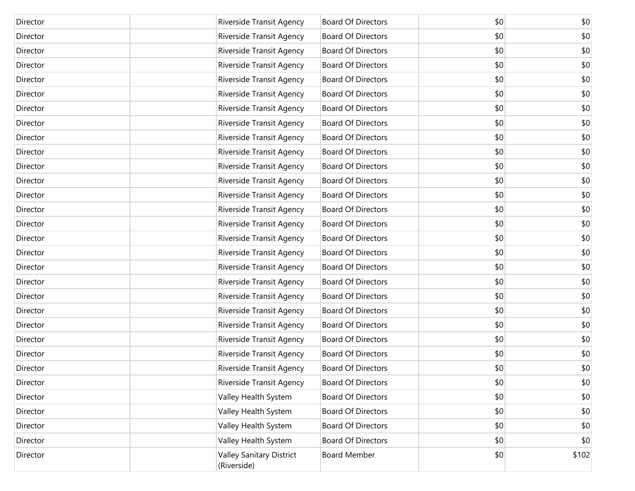| Director | Riverside Transit Agency                       | <b>Board Of Directors</b> | \$0 | \$0   |
|----------|------------------------------------------------|---------------------------|-----|-------|
| Director | Riverside Transit Agency                       | <b>Board Of Directors</b> | \$0 | \$0   |
| Director | Riverside Transit Agency                       | <b>Board Of Directors</b> | \$0 | \$0   |
| Director | Riverside Transit Agency                       | <b>Board Of Directors</b> | \$0 | \$0   |
| Director | Riverside Transit Agency                       | <b>Board Of Directors</b> | \$0 | \$0   |
| Director | Riverside Transit Agency                       | <b>Board Of Directors</b> | \$0 | \$0   |
| Director | Riverside Transit Agency                       | <b>Board Of Directors</b> | \$0 | \$0   |
| Director | Riverside Transit Agency                       | <b>Board Of Directors</b> | \$0 | \$0   |
| Director | Riverside Transit Agency                       | <b>Board Of Directors</b> | \$0 | \$0   |
| Director | Riverside Transit Agency                       | <b>Board Of Directors</b> | \$0 | \$0   |
| Director | Riverside Transit Agency                       | <b>Board Of Directors</b> | \$0 | \$0   |
| Director | Riverside Transit Agency                       | <b>Board Of Directors</b> | \$0 | \$0   |
| Director | Riverside Transit Agency                       | <b>Board Of Directors</b> | \$0 | \$0   |
| Director | Riverside Transit Agency                       | <b>Board Of Directors</b> | \$0 | \$0   |
| Director | Riverside Transit Agency                       | <b>Board Of Directors</b> | \$0 | \$0   |
| Director | Riverside Transit Agency                       | <b>Board Of Directors</b> | \$0 | \$0   |
| Director | Riverside Transit Agency                       | <b>Board Of Directors</b> | \$0 | \$0   |
| Director | Riverside Transit Agency                       | <b>Board Of Directors</b> | \$0 | \$0   |
| Director | Riverside Transit Agency                       | <b>Board Of Directors</b> | \$0 | \$0   |
| Director | Riverside Transit Agency                       | <b>Board Of Directors</b> | \$0 | \$0   |
| Director | Riverside Transit Agency                       | <b>Board Of Directors</b> | \$0 | \$0   |
| Director | Riverside Transit Agency                       | <b>Board Of Directors</b> | \$0 | \$0   |
| Director | Riverside Transit Agency                       | <b>Board Of Directors</b> | \$0 | \$0   |
| Director | Riverside Transit Agency                       | <b>Board Of Directors</b> | \$0 | \$0   |
| Director | Riverside Transit Agency                       | <b>Board Of Directors</b> | \$0 | \$0   |
| Director | Riverside Transit Agency                       | <b>Board Of Directors</b> | \$0 | \$0   |
| Director | Valley Health System                           | <b>Board Of Directors</b> | \$0 | \$0   |
| Director | Valley Health System                           | <b>Board Of Directors</b> | \$0 | \$0   |
| Director | Valley Health System                           | <b>Board Of Directors</b> | \$0 | \$0   |
| Director | Valley Health System                           | <b>Board Of Directors</b> | \$0 | \$0   |
| Director | <b>Valley Sanitary District</b><br>(Riverside) | <b>Board Member</b>       | \$0 | \$102 |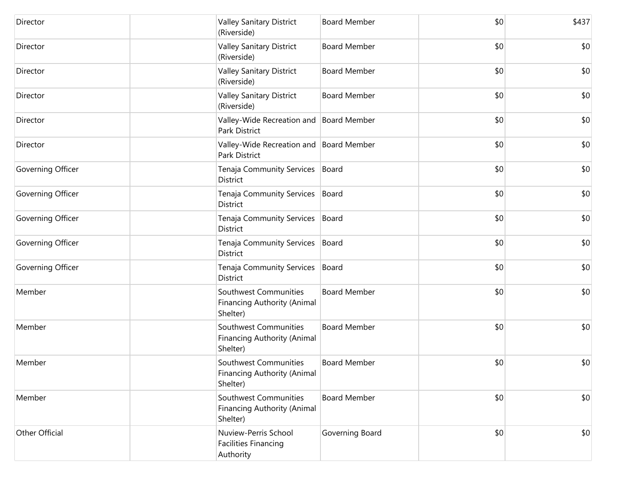| Director          | <b>Valley Sanitary District</b><br>(Riverside)                          | <b>Board Member</b> | \$0 | \$437 |
|-------------------|-------------------------------------------------------------------------|---------------------|-----|-------|
| Director          | Valley Sanitary District<br>(Riverside)                                 | <b>Board Member</b> | \$0 | \$0   |
| Director          | <b>Valley Sanitary District</b><br>(Riverside)                          | <b>Board Member</b> | \$0 | \$0   |
| Director          | <b>Valley Sanitary District</b><br>(Riverside)                          | <b>Board Member</b> | \$0 | \$0   |
| Director          | Valley-Wide Recreation and   Board Member<br>Park District              |                     | \$0 | \$0   |
| Director          | Valley-Wide Recreation and Board Member<br>Park District                |                     | \$0 | \$0   |
| Governing Officer | Tenaja Community Services<br><b>District</b>                            | Board               | \$0 | \$0   |
| Governing Officer | Tenaja Community Services<br>District                                   | Board               | \$0 | \$0   |
| Governing Officer | Tenaja Community Services<br>District                                   | Board               | \$0 | \$0   |
| Governing Officer | Tenaja Community Services   Board<br>District                           |                     | \$0 | \$0   |
| Governing Officer | Tenaja Community Services   Board<br>District                           |                     | \$0 | \$0   |
| Member            | Southwest Communities<br><b>Financing Authority (Animal</b><br>Shelter) | <b>Board Member</b> | \$0 | \$0   |
| Member            | Southwest Communities<br><b>Financing Authority (Animal</b><br>Shelter) | <b>Board Member</b> | \$0 | \$0   |
| Member            | Southwest Communities<br>Financing Authority (Animal<br>Shelter)        | <b>Board Member</b> | \$0 | \$0   |
| Member            | Southwest Communities<br><b>Financing Authority (Animal</b><br>Shelter) | <b>Board Member</b> | \$0 | \$0   |
| Other Official    | Nuview-Perris School<br><b>Facilities Financing</b><br>Authority        | Governing Board     | \$0 | \$0   |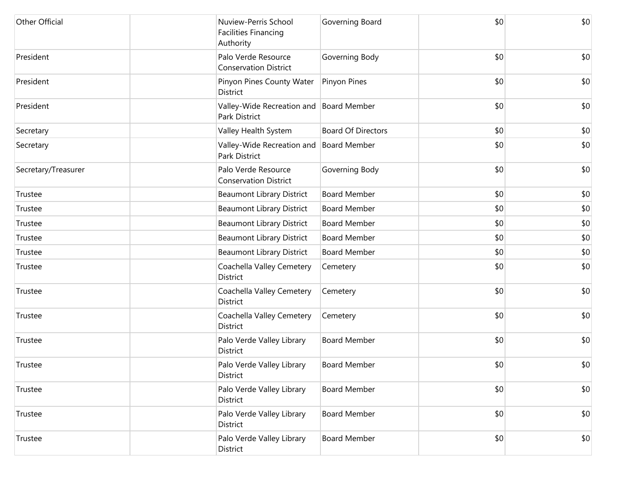| Other Official      | Nuview-Perris School<br><b>Facilities Financing</b><br>Authority | Governing Board           | \$0 | \$0 |
|---------------------|------------------------------------------------------------------|---------------------------|-----|-----|
| President           | Palo Verde Resource<br><b>Conservation District</b>              | Governing Body            | \$0 | \$0 |
| President           | Pinyon Pines County Water<br>District                            | Pinyon Pines              | \$0 | \$0 |
| President           | Valley-Wide Recreation and Board Member<br>Park District         |                           | \$0 | \$0 |
| Secretary           | Valley Health System                                             | <b>Board Of Directors</b> | \$0 | \$0 |
| Secretary           | Valley-Wide Recreation and<br>Park District                      | <b>Board Member</b>       | \$0 | \$0 |
| Secretary/Treasurer | Palo Verde Resource<br><b>Conservation District</b>              | Governing Body            | \$0 | \$0 |
| Trustee             | <b>Beaumont Library District</b>                                 | <b>Board Member</b>       | \$0 | \$0 |
| Trustee             | <b>Beaumont Library District</b>                                 | <b>Board Member</b>       | \$0 | \$0 |
| Trustee             | <b>Beaumont Library District</b>                                 | <b>Board Member</b>       | \$0 | \$0 |
| Trustee             | <b>Beaumont Library District</b>                                 | <b>Board Member</b>       | \$0 | \$0 |
| Trustee             | <b>Beaumont Library District</b>                                 | <b>Board Member</b>       | \$0 | \$0 |
| Trustee             | Coachella Valley Cemetery<br>District                            | Cemetery                  | \$0 | \$0 |
| Trustee             | Coachella Valley Cemetery<br>District                            | Cemetery                  | \$0 | \$0 |
| Trustee             | Coachella Valley Cemetery<br>District                            | Cemetery                  | \$0 | \$0 |
| Trustee             | Palo Verde Valley Library<br>District                            | <b>Board Member</b>       | \$0 | \$0 |
| Trustee             | Palo Verde Valley Library<br>District                            | <b>Board Member</b>       | \$0 | \$0 |
| Trustee             | Palo Verde Valley Library<br>District                            | <b>Board Member</b>       | \$0 | \$0 |
| Trustee             | Palo Verde Valley Library<br>District                            | <b>Board Member</b>       | \$0 | \$0 |
| Trustee             | Palo Verde Valley Library<br>District                            | <b>Board Member</b>       | \$0 | \$0 |